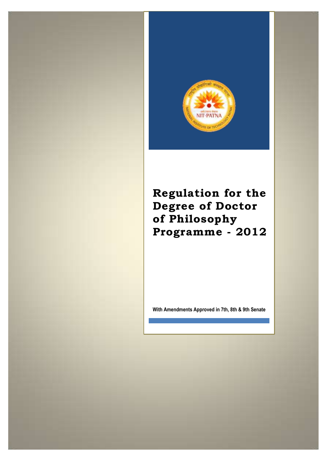

**Regulation for the Degree of Doctor of Philosophy Programme - 2012**

**With Amendments Approved in 7th, 8th & 9th Senate**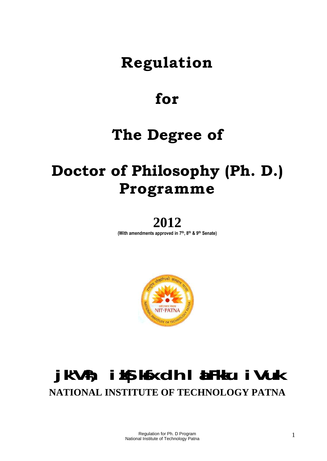# **Regulation**

# **for**

# **The Degree of**

# **Doctor of Philosophy (Ph. D.) Programme**

# **2012**

**(With amendments approved in 7 th , 8 th & 9th Senate)**



# **jk"Vªh; izkS|ksfxdh laLFkku iVuk NATIONAL INSTITUTE OF TECHNOLOGY PATNA**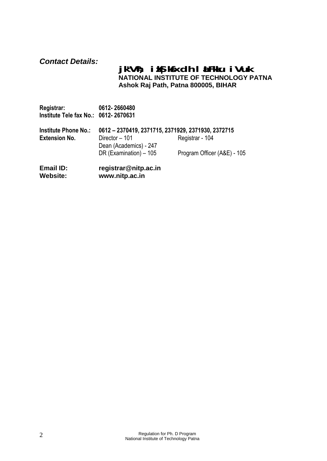# *Contact Details:*

# **jk"Vªh; izkS|ksfxdh laLFkku iVuk NATIONAL INSTITUTE OF TECHNOLOGY PATNA Ashok Raj Path, Patna 800005, BIHAR**

| Registrar:<br>Institute Tele fax No.: 0612-2670631 | 0612-2660480                                       |                             |
|----------------------------------------------------|----------------------------------------------------|-----------------------------|
| <b>Institute Phone No.:</b>                        | 0612 - 2370419, 2371715, 2371929, 2371930, 2372715 |                             |
| <b>Extension No.</b>                               | Director - 101                                     | Registrar - 104             |
|                                                    | Dean (Academics) - 247                             |                             |
|                                                    | DR (Examination) - 105                             | Program Officer (A&E) - 105 |
| Email ID:<br><b>Website:</b>                       | registrar@nitp.ac.in<br>www.nitp.ac.in             |                             |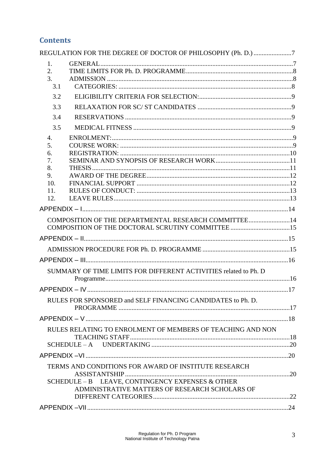# **Contents**

| REGULATION FOR THE DEGREE OF DOCTOR OF PHILOSOPHY (Ph. D.) 7                                       |  |
|----------------------------------------------------------------------------------------------------|--|
| 1.<br>2.<br>3.<br>3.1                                                                              |  |
| 3.2                                                                                                |  |
| 3.3                                                                                                |  |
| 3.4                                                                                                |  |
| 3.5                                                                                                |  |
| $\overline{4}$ .                                                                                   |  |
| 5.                                                                                                 |  |
| 6.                                                                                                 |  |
| 7.<br>8.                                                                                           |  |
| 9.                                                                                                 |  |
| 10.                                                                                                |  |
| 11.                                                                                                |  |
| 12.                                                                                                |  |
|                                                                                                    |  |
| COMPOSITION OF THE DEPARTMENTAL RESEARCH COMMITTEE14                                               |  |
|                                                                                                    |  |
|                                                                                                    |  |
|                                                                                                    |  |
|                                                                                                    |  |
| SUMMARY OF TIME LIMITS FOR DIFFERENT ACTIVITIES related to Ph. D                                   |  |
|                                                                                                    |  |
| RULES FOR SPONSORED and SELF FINANCING CANDIDATES to Ph. D.                                        |  |
|                                                                                                    |  |
|                                                                                                    |  |
| RULES RELATING TO ENROLMENT OF MEMBERS OF TEACHING AND NON                                         |  |
|                                                                                                    |  |
|                                                                                                    |  |
| TERMS AND CONDITIONS FOR AWARD OF INSTITUTE RESEARCH                                               |  |
| SCHEDULE - B LEAVE, CONTINGENCY EXPENSES & OTHER<br>ADMINISTRATIVE MATTERS OF RESEARCH SCHOLARS OF |  |
|                                                                                                    |  |
|                                                                                                    |  |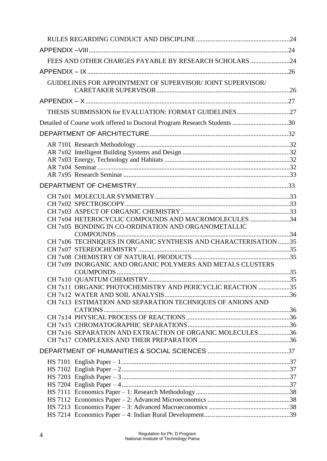| FEES AND OTHER CHARGES PAYABLE BY RESEARCH SCHOLARS 24                   |  |
|--------------------------------------------------------------------------|--|
|                                                                          |  |
| <b>GUIDELINES FOR APPOINTMENT OF SUPERVISOR/ JOINT SUPERVISOR/</b>       |  |
|                                                                          |  |
|                                                                          |  |
| THESIS SUBMISSION for EVALUATION: FORMAT GUIDELINES27                    |  |
| Detailed of Course work offered to Doctoral Program Research Students 30 |  |
|                                                                          |  |
|                                                                          |  |
|                                                                          |  |
|                                                                          |  |
|                                                                          |  |
|                                                                          |  |
|                                                                          |  |
|                                                                          |  |
|                                                                          |  |
|                                                                          |  |
| CH 7x04 HETEROCYCLIC COMPOUNDS AND MACROMOLECULES 34                     |  |
| CH 7x05 BONDING IN CO-ORDINATION AND ORGANOMETALLIC                      |  |
|                                                                          |  |
| CH 7x06 TECHNIQUES IN ORGANIC SYNTHESIS AND CHARACTERISATION 35          |  |
|                                                                          |  |
| CH 7x09 INORGANIC AND ORGANIC POLYMERS AND METALS CLUSTERS               |  |
|                                                                          |  |
|                                                                          |  |
| CH 7x11 ORGANIC PHOTOCHEMISTRY AND PERICYCLIC REACTION 35                |  |
|                                                                          |  |
| CH 7x13 ESTIMATION AND SEPARATION TECHNIQUES OF ANIONS AND               |  |
|                                                                          |  |
|                                                                          |  |
| CH 7x16 SEPARATION AND EXTRACTION OF ORGANIC MOLECULES36                 |  |
|                                                                          |  |
|                                                                          |  |
|                                                                          |  |
|                                                                          |  |
|                                                                          |  |
|                                                                          |  |
|                                                                          |  |
|                                                                          |  |
|                                                                          |  |
|                                                                          |  |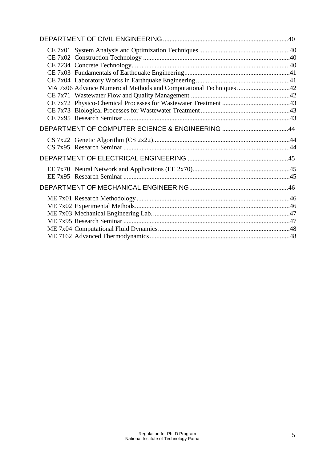| MA 7x06 Advance Numerical Methods and Computational Techniques 42 |  |
|-------------------------------------------------------------------|--|
|                                                                   |  |
|                                                                   |  |
|                                                                   |  |
|                                                                   |  |
|                                                                   |  |
|                                                                   |  |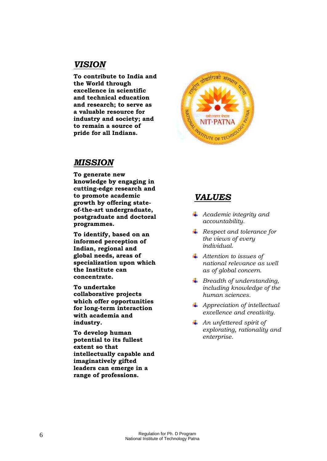# *VISION*

**To contribute to India and the World through excellence in scientific and technical education and research; to serve as a valuable resource for industry and society; and to remain a source of pride for all Indians.**



# *MISSION*

**To generate new knowledge by engaging in cutting-edge research and to promote academic growth by offering stateof-the-art undergraduate, postgraduate and doctoral programmes.**

**To identify, based on an informed perception of Indian, regional and global needs, areas of specialization upon which the Institute can concentrate.**

**To undertake collaborative projects which offer opportunities for long-term interaction with academia and industry.**

**To develop human potential to its fullest extent so that intellectually capable and imaginatively gifted leaders can emerge in a range of professions.**

# *VALUES*

- *Academic integrity and accountability.*
- *Respect and tolerance for the views of every individual.*
- *Attention to issues of national relevance as well as of global concern.*
- *Breadth of understanding, including knowledge of the human sciences.*
- *Appreciation of intellectual excellence and creativity.*
- *An unfettered spirit of explorating, rationality and enterprise.*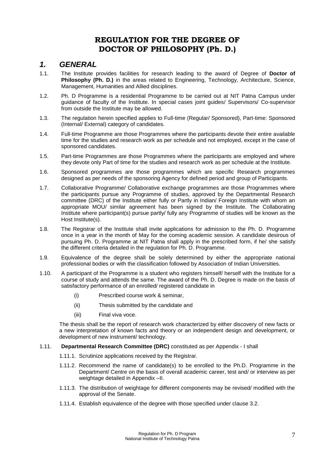# **REGULATION FOR THE DEGREE OF DOCTOR OF PHILOSOPHY (Ph. D.)**

### <span id="page-7-1"></span><span id="page-7-0"></span>*1. GENERAL*

- 1.1. The Institute provides facilities for research leading to the award of Degree of **Doctor of Philosophy (Ph. D.)** in the areas related to Engineering, Technology, Architecture, Science, Management, Humanities and Allied disciplines.
- 1.2. Ph. D Programme is a residential Programme to be carried out at NIT Patna Campus under guidance of faculty of the Institute. In special cases joint guides/ Supervisors/ Co-supervisor from outside the Institute may be allowed.
- 1.3. The regulation herein specified applies to Full-time (Regular/ Sponsored), Part-time: Sponsored (Internal/ External) category of candidates.
- 1.4. Full-time Programme are those Programmes where the participants devote their entire available time for the studies and research work as per schedule and not employed, except in the case of sponsored candidates.
- 1.5. Part-time Programmes are those Programmes where the participants are employed and where they devote only Part of time for the studies and research work as per schedule at the Institute.
- 1.6. Sponsored programmes are those programmes which are specific Research programmes designed as per needs of the sponsoring Agency for defined period and group of Participants.
- 1.7. Collaborative Programme/ Collaborative exchange programmes are those Programmes where the participants pursue any Programme of studies, approved by the Departmental Research committee (DRC) of the Institute either fully or Partly in Indian/ Foreign Institute with whom an appropriate MOU/ similar agreement has been signed by the Institute. The Collaborating Institute where participant(s) pursue partly/ fully any Programme of studies will be known as the Host Institute(s).
- 1.8. The Registrar of the Institute shall invite applications for admission to the Ph. D. Programme once in a year in the month of May for the coming academic session. A candidate desirous of pursuing Ph. D. Programme at NIT Patna shall apply in the prescribed form, if he/ she satisfy the different criteria detailed in the regulation for Ph. D. Programme.
- 1.9. Equivalence of the degree shall be solely determined by either the appropriate national professional bodies or with the classification followed by Association of Indian Universities.
- 1.10. A participant of the Programme is a student who registers himself/ herself with the Institute for a course of study and attends the same. The award of the Ph. D. Degree is made on the basis of satisfactory performance of an enrolled/ registered candidate in
	- (i) Prescribed course work & seminar,
	- (ii) Thesis submitted by the candidate and
	- (iii) Final viva voce.

The thesis shall be the report of research work characterized by either discovery of new facts or a new interpretation of known facts and theory or an independent design and development, or development of new instrument/ technology.

#### 1.11. **Departmental Research Committee (DRC)** constituted as per Appendix - I shall

- 1.11.1. Scrutinize applications received by the Registrar.
- 1.11.2. Recommend the name of candidate(s) to be enrolled to the Ph.D. Programme in the Department/ Centre on the basis of overall academic career, test and/ or interview as per weightage detailed in Appendix –II.
- 1.11.3. The distribution of weightage for different components may be revised/ modified with the approval of the Senate.
- 1.11.4. Establish equivalence of the degree with those specified under clause 3.2.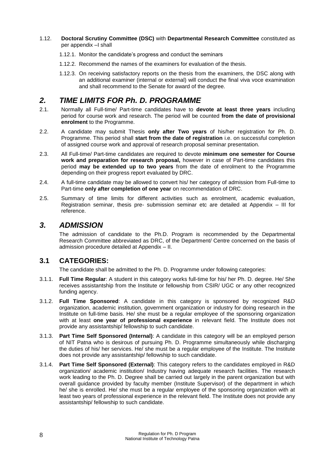#### 1.12. **Doctoral Scrutiny Committee (DSC)** with **Departmental Research Committee** constituted as per appendix –I shall

- 1.12.1. Monitor the candidate's progress and conduct the seminars
- 1.12.2. Recommend the names of the examiners for evaluation of the thesis.
- 1.12.3. On receiving satisfactory reports on the thesis from the examiners, the DSC along with an additional examiner (internal or external) will conduct the final viva voce examination and shall recommend to the Senate for award of the degree.

# <span id="page-8-0"></span>*2. TIME LIMITS FOR Ph. D. PROGRAMME*

- 2.1. Normally all Full-time/ Part-time candidates have to **devote at least three years** including period for course work and research. The period will be counted **from the date of provisional enrolment** to the Programme.
- 2.2. A candidate may submit Thesis **only after Two years** of his/her registration for Ph. D. Programme. This period shall **start from the date of registration** i.e. on successful completion of assigned course work and approval of research proposal seminar presentation.
- 2.3. All Full-time/ Part-time candidates are required to devote **minimum one semester for Course work and preparation for research proposal,** however in case of Part-time candidates this period **may be extended up to two years** from the date of enrolment to the Programme depending on their progress report evaluated by DRC.
- 2.4. A full-time candidate may be allowed to convert his/ her category of admission from Full-time to Part-time **only after completion of one year** on recommendation of DRC.
- 2.5. Summary of time limits for different activities such as enrolment, academic evaluation, Registration seminar, thesis pre- submission seminar etc are detailed at Appendix – III for reference.

### <span id="page-8-1"></span>*3. ADMISSION*

The admission of candidate to the Ph.D. Program is recommended by the Departmental Research Committee abbreviated as DRC, of the Department/ Centre concerned on the basis of admission procedure detailed at Appendix – II.

### <span id="page-8-2"></span>**3.1 CATEGORIES:**

The candidate shall be admitted to the Ph. D. Programme under following categories:

- 3.1.1. **Full Time Regular**: A student in this category works full-time for his/ her Ph. D. degree. He/ She receives assistantship from the Institute or fellowship from CSIR/ UGC or any other recognized funding agency.
- 3.1.2. **Full Time Sponsored**: A candidate in this category is sponsored by recognized R&D organization, academic institution, government organization or industry for doing research in the Institute on full-time basis. He/ she must be a regular employee of the sponsoring organization with at least **one year of professional experience** in relevant field. The Institute does not provide any assistantship/ fellowship to such candidate.
- 3.1.3. **Part Time Self Sponsored (Internal)**: A candidate in this category will be an employed person of NIT Patna who is desirous of pursuing Ph. D. Programme simultaneously while discharging the duties of his/ her services. He/ she must be a regular employee of the Institute. The Institute does not provide any assistantship/ fellowship to such candidate.
- 3.1.4. **Part Time Self Sponsored (External)**: This category refers to the candidates employed in R&D organization/ academic institution/ Industry having adequate research facilities. The research work leading to the Ph. D. Degree shall be carried out largely in the parent organization but with overall guidance provided by faculty member (Institute Supervisor) of the department in which he/ she is enrolled. He/ she must be a regular employee of the sponsoring organization with at least two years of professional experience in the relevant field. The Institute does not provide any assistantship/ fellowship to such candidate.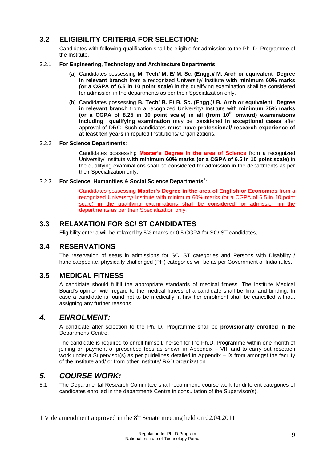# <span id="page-9-0"></span>**3.2 ELIGIBILITY CRITERIA FOR SELECTION:**

Candidates with following qualification shall be eligible for admission to the Ph. D. Programme of the Institute.

#### 3.2.1 **For Engineering, Technology and Architecture Departments:**

- (a) Candidates possessing **M. Tech/ M. E/ M. Sc. (Engg.)/ M. Arch or equivalent Degree in relevant branch** from a recognized University/ Institute **with minimum 60% marks (or a CGPA of 6.5 in 10 point scale)** in the qualifying examination shall be considered for admission in the departments as per their Specialization only.
- (b) Candidates possessing **B. Tech/ B. E/ B. Sc. (Engg.)/ B. Arch or equivalent Degree in relevant branch** from a recognized University/ Institute with **minimum 75% marks (or a CGPA of 8.25 in 10 point scale) in all (from 10th onward) examinations including qualifying examination** may be considered **in exceptional cases** after approval of DRC. Such candidates **must have professional/ research experience of at least ten years** in reputed Institutions/ Organizations.

#### 3.2.2 **For Science Departments**:

Candidates possessing **Master's Degree in the area of Science** from a recognized University/ Institute **with minimum 60% marks (or a CGPA of 6.5 in 10 point scale)** in the qualifying examinations shall be considered for admission in the departments as per their Specialization only.

#### 3.2.3 For Science, Humanities & Social Science Departments<sup>1</sup>:

Candidates possessing **Master's Degree in the area of English or Economics** from a recognized University/ Institute with minimum 60% marks (or a CGPA of 6.5 in 10 point scale) in the qualifying examinations shall be considered for admission in the departments as per their Specialization only.

### <span id="page-9-1"></span>**3.3 RELAXATION FOR SC/ ST CANDIDATES**

Eligibility criteria will be relaxed by 5% marks or 0.5 CGPA for SC/ ST candidates.

### <span id="page-9-2"></span>**3.4 RESERVATIONS**

The reservation of seats in admissions for SC, ST categories and Persons with Disability / handicapped i.e. physically challenged (PH) categories will be as per Government of India rules.

### <span id="page-9-3"></span>**3.5 MEDICAL FITNESS**

A candidate should fulfill the appropriate standards of medical fitness. The Institute Medical Board's opinion with regard to the medical fitness of a candidate shall be final and binding. In case a candidate is found not to be medically fit his/ her enrolment shall be cancelled without assigning any further reasons.

### <span id="page-9-4"></span>*4. ENROLMENT:*

A candidate after selection to the Ph. D. Programme shall be **provisionally enrolled** in the Department/ Centre.

The candidate is required to enroll himself/ herself for the Ph.D. Programme within one month of joining on payment of prescribed fees as shown in Appendix – VIII and to carry out research work under a Supervisor(s) as per guidelines detailed in Appendix – IX from amongst the faculty of the Institute and/ or from other Institute/ R&D organization.

# <span id="page-9-5"></span>*5. COURSE WORK:*

1

5.1 The Departmental Research Committee shall recommend course work for different categories of candidates enrolled in the department/ Centre in consultation of the Supervisor(s).

<sup>1</sup> Vide amendment approved in the  $8<sup>th</sup>$  Senate meeting held on 02.04.2011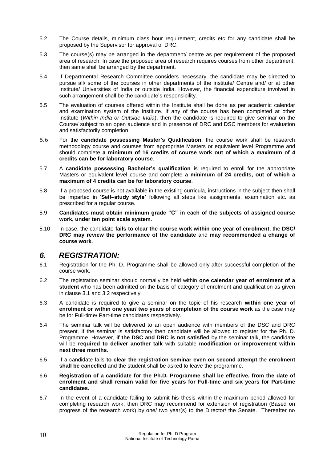- 5.2 The Course details, minimum class hour requirement, credits etc for any candidate shall be proposed by the Supervisor for approval of DRC.
- 5.3 The course(s) may be arranged in the department/ centre as per requirement of the proposed area of research. In case the proposed area of research requires courses from other department, then same shall be arranged by the department.
- 5.4 If Departmental Research Committee considers necessary, the candidate may be directed to pursue all/ some of the courses in other departments of the institute/ Centre and/ or at other Institute/ Universities of India or outside India. However, the financial expenditure involved in such arrangement shall be the candidate's responsibility.
- 5.5 The evaluation of courses offered within the Institute shall be done as per academic calendar and examination system of the Institute. If any of the course has been completed at other Institute (*Within India or Outside India*), then the candidate is required to give seminar on the Course/ subject to an open audience and in presence of DRC and DSC members for evaluation and satisfactorily completion.
- 5.6 For the **candidate possessing Master's Qualification**, the course work shall be research methodology course and courses from appropriate Masters or equivalent level Programme and should complete **a minimum of 16 credits of course work out of which a maximum of 4 credits can be for laboratory course**.
- 5.7 A **candidate possessing Bachelor's qualification** is required to enroll for the appropriate Masters or equivalent level course and complete **a minimum of 24 credits, out of which a maximum of 4 credits can be for laboratory course**.
- 5.8 If a proposed course is not available in the existing curricula, instructions in the subject then shall be imparted in '**Self–study style'** following all steps like assignments, examination etc. as prescribed for a regular course.
- 5.9 **Candidates must obtain minimum grade "C" in each of the subjects of assigned course work, under ten point scale system**.
- 5.10 In case, the candidate **fails to clear the course work within one year of enrolment**, the **DSC/ DRC may review the performance of the candidate** and **may recommended a change of course work**.

# <span id="page-10-0"></span>*6. REGISTRATION:*

- 6.1 Registration for the Ph. D. Programme shall be allowed only after successful completion of the course work.
- 6.2 The registration seminar should normally be held within **one calendar year of enrolment of a student** who has been admitted on the basis of category of enrolment and qualification as given in clause 3.1 and 3.2 respectively.
- 6.3 A candidate is required to give a seminar on the topic of his research **within one year of enrolment or within one year/ two years of completion of the course work** as the case may be for Full-time/ Part-time candidates respectively.
- 6.4 The seminar talk will be delivered to an open audience with members of the DSC and DRC present. If the seminar is satisfactory then candidate will be allowed to register for the Ph. D. Programme. However, **if the DSC and DRC is not satisfied** by the seminar talk, the candidate will be **required to deliver another talk** with suitable **modification or improvement within next three months**.
- 6.5 If a candidate fails **to clear the registration seminar even on second attempt** the **enrolment shall be cancelled** and the student shall be asked to leave the programme.
- 6.6 **Registration of a candidate for the Ph.D. Programme shall be effective, from the date of enrolment and shall remain valid for five years for Full-time and six years for Part-time candidates.**
- 6.7 In the event of a candidate failing to submit his thesis within the maximum period allowed for completing research work, then DRC may recommend for extension of registration (Based on progress of the research work) by one/ two year(s) to the Director/ the Senate. Thereafter no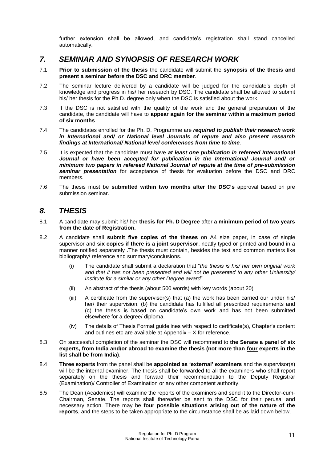further extension shall be allowed, and candidate's registration shall stand cancelled automatically.

# <span id="page-11-0"></span>*7. SEMINAR AND SYNOPSIS OF RESEARCH WORK*

- 7.1 **Prior to submission of the thesis** the candidate will submit the **synopsis of the thesis and present a seminar before the DSC and DRC member**.
- 7.2 The seminar lecture delivered by a candidate will be judged for the candidate's depth of knowledge and progress in his/ her research by DSC. The candidate shall be allowed to submit his/ her thesis for the Ph.D. degree only when the DSC is satisfied about the work.
- 7.3 If the DSC is not satisfied with the quality of the work and the general preparation of the candidate, the candidate will have to **appear again for the seminar within a maximum period of six months**.
- 7.4 The candidates enrolled for the Ph. D. Programme are *required to publish their research work in International and/ or National level Journals of repute and also present research findings at International/ National level conferences from time to time.*
- 7.5 It is expected that the candidate must have *at least one publication in refereed International Journal or have been accepted for publication in the International Journal and/ or minimum two papers in refereed National Journal of repute at the time of pre-submission seminar presentation* for acceptance of thesis for evaluation before the DSC and DRC members*.*
- 7.6 The thesis must be **submitted within two months after the DSC's** approval based on pre submission seminar.

# <span id="page-11-1"></span>*8. THESIS*

- 8.1 A candidate may submit his/ her **thesis for Ph. D Degree** after **a minimum period of two years from the date of Registration.**
- 8.2 A candidate shall **submit five copies of the theses** on A4 size paper, in case of single supervisor and **six copies if there is a joint supervisor**, neatly typed or printed and bound in a manner notified separately .The thesis must contain, besides the text and common matters like bibliography/ reference and summary/conclusions.
	- (i) The candidate shall submit a declaration that "*the thesis is his/ her own original work and that it has not been presented and will not be presented to any other University/ Institute for a similar or any other Degree award*".
	- (ii) An abstract of the thesis (about 500 words) with key words (about 20)
	- (iii) A certificate from the supervisor(s) that (a) the work has been carried our under his/ her/ their supervision, (b) the candidate has fulfilled all prescribed requirements and (c) the thesis is based on candidate's own work and has not been submitted elsewhere for a degree/ diploma.
	- (iv) The details of Thesis Format guidelines with respect to certificate(s), Chapter's content and outlines etc are available at Appendix – X for reference.
- 8.3 On successful completion of the seminar the DSC will recommend to **the Senate a panel of six experts, from India and/or abroad to examine the thesis (not more than four experts in the list shall be from India)**.
- 8.4 **Three experts** from the panel shall be **appointed as 'external' examiners** and the supervisor(s) will be the internal examiner. The thesis shall be forwarded to all the examiners who shall report separately on the thesis and forward their recommendation to the Deputy Registrar (Examination)/ Controller of Examination or any other competent authority.
- 8.5 The Dean (Academics) will examine the reports of the examiners and send it to the Director-cum-Chairman, Senate. The reports shall thereafter be sent to the DSC for their perusal and necessary action. There may be **four possible situations arising out of the nature of the reports**, and the steps to be taken appropriate to the circumstance shall be as laid down below.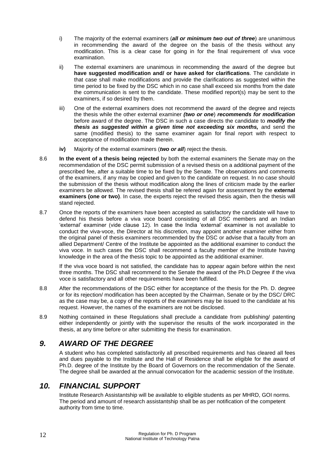- i) The majority of the external examiners (*all or minimum two out of three*) are unanimous in recommending the award of the degree on the basis of the thesis without any modification. This is a clear case for going in for the final requirement of viva voce examination.
- ii) The external examiners are unanimous in recommending the award of the degree but **have suggested modification and/ or have asked for clarifications**. The candidate in that case shall make modifications and provide the clarifications as suggested within the time period to be fixed by the DSC which in no case shall exceed six months from the date the communication is sent to the candidate. These modified report(s) may be sent to the examiners, if so desired by them.
- iii) One of the external examiners does not recommend the award of the degree and rejects the thesis while the other external examiner *(two or one*) *recommends for modification* before award of the degree. The DSC in such a case directs the candidate to *modify the thesis as suggested within a given time not exceeding six months, and send the* same (modified thesis) to the same examiner again for final report with respect to acceptance of modification made therein.
- **iv)** Majority of the external examiners (*two or all*) reject the thesis.
- 8.6 **In the event of a thesis being rejected** by both the external examiners the Senate may on the recommendation of the DSC permit submission of a revised thesis on a additional payment of the prescribed fee, after a suitable time to be fixed by the Senate. The observations and comments of the examiners, if any may be copied and given to the candidate on request. In no case should the submission of the thesis without modification along the lines of criticism made by the earlier examiners be allowed. The revised thesis shall be refered again for assessment by the **external examiners (one or two)**. In case, the experts reject the revised thesis again, then the thesis will stand rejected.
- 8.7 Once the reports of the examiners have been accepted as satisfactory the candidate will have to defend his thesis before a viva voce board consisting of all DSC members and an Indian 'external' examiner (vide clause 12). In case the India 'external' examiner is not available to conduct the viva-voce, the Director at his discretion, may appoint another examiner either from the original panel of thesis examiners recommended by the DSC or advise that a faculty from an allied Department/ Centre of the Institute be appointed as the additional examiner to conduct the viva voce. In such cases the DSC shall recommend a faculty member of the Institute having knowledge in the area of the thesis topic to be appointed as the additional examiner.

If the viva voce board is not satisfied, the candidate has to appear again before within the next three months. The DSC shall recommend to the Senate the award of the Ph.D Degree if the viva voce is satisfactory and all other requirements have been fulfilled.

- 8.8 After the recommendations of the DSC either for acceptance of the thesis for the Ph. D. degree or for its rejection/ modification has been accepted by the Chairman, Senate or by the DSC/ DRC as the case may be, a copy of the reports of the examiners may be issued to the candidate at his request. However, the names of the examiners are not be disclosed.
- 8.9 Nothing contained in these Regulations shall preclude a candidate from publishing/ patenting either independently or jointly with the supervisor the results of the work incorporated in the thesis, at any time before or after submitting the thesis for examination.

# <span id="page-12-0"></span>*9. AWARD OF THE DEGREE*

A student who has completed satisfactorily all prescribed requirements and has cleared all fees and dues payable to the Institute and the Hall of Residence shall be eligible for the award of Ph.D. degree of the Institute by the Board of Governors on the recommendation of the Senate. The degree shall be awarded at the annual convocation for the academic session of the Institute.

# <span id="page-12-1"></span>*10. FINANCIAL SUPPORT*

Institute Research Assistantship will be available to eligible students as per MHRD, GOI norms. The period and amount of research assistantship shall be as per notification of the competent authority from time to time.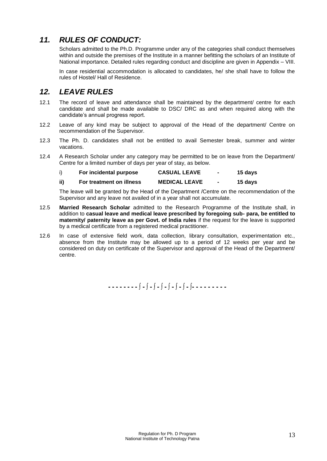# <span id="page-13-0"></span>*11. RULES OF CONDUCT:*

Scholars admitted to the Ph.D. Programme under any of the categories shall conduct themselves within and outside the premises of the Institute in a manner befitting the scholars of an Institute of National importance. Detailed rules regarding conduct and discipline are given in Appendix – VIII.

In case residential accommodation is allocated to candidates, he/ she shall have to follow the rules of Hostel/ Hall of Residence.

# <span id="page-13-1"></span>*12. LEAVE RULES*

- 12.1 The record of leave and attendance shall be maintained by the department/ centre for each candidate and shall be made available to DSC/ DRC as and when required along with the candidate's annual progress report.
- 12.2 Leave of any kind may be subject to approval of the Head of the department/ Centre on recommendation of the Supervisor.
- 12.3 The Ph. D. candidates shall not be entitled to avail Semester break, summer and winter vacations.
- 12.4 A Research Scholar under any category may be permitted to be on leave from the Department/ Centre for a limited number of days per year of stay, as below.

| For incidental purpose | <b>CASUAL LEAVE</b> | 15 days |
|------------------------|---------------------|---------|
|                        |                     |         |

| ii) | For treatment on illness | <b>MEDICAL LEAVE</b> |  | 15 days |
|-----|--------------------------|----------------------|--|---------|
|-----|--------------------------|----------------------|--|---------|

The leave will be granted by the Head of the Department /Centre on the recommendation of the Supervisor and any leave not availed of in a year shall not accumulate.

- 12.5 **Married Research Scholar** admitted to the Research Programme of the Institute shall, in addition to **casual leave and medical leave prescribed by foregoing sub- para, be entitled to maternity/ paternity leave as per Govt. of India rules** if the request for the leave is supported by a medical certificate from a registered medical practitioner.
- 12.6 In case of extensive field work, data collection, library consultation, experimentation etc., absence from the Institute may be allowed up to a period of 12 weeks per year and be considered on duty on certificate of the Supervisor and approval of the Head of the Department/ centre.

**- - - - - - - - ∫ - ∫ - ∫ - ∫ - ∫ - ∫ - ∫ - ∫- - - - - - - - -**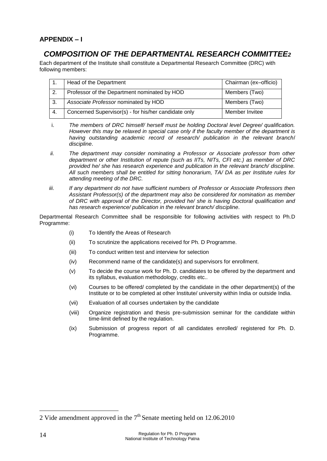### <span id="page-14-1"></span><span id="page-14-0"></span>**APPENDIX – I**

# *COMPOSITION OF THE DEPARTMENTAL RESEARCH COMMITTEE2*

Each department of the Institute shall constitute a Departmental Research Committee (DRC) with following members:

|     | Head of the Department                               | Chairman (ex-officio) |
|-----|------------------------------------------------------|-----------------------|
| 2.  | Professor of the Department nominated by HOD         | Members (Two)         |
| -3. | Associate Professor nominated by HOD                 | Members (Two)         |
| 4.  | Concerned Supervisor(s) - for his/her candidate only | Member Invitee        |

- i. *The members of DRC himself/ herself must be holding Doctoral level Degree/ qualification. However this may be relaxed in special case only if the faculty member of the department is having outstanding academic record of research/ publication in the relevant branch*/ *discipline*.
- *ii. The department may consider nominating a Professor or Associate professor from other department or other Institution of repute (such as IITs, NITs, CFI etc.) as member of DRC provided he/ she has research experience and publication in the relevant branch/ discipline. All such members shall be entitled for sitting honorarium, TA/ DA as per Institute rules for attending meeting of the DRC.*
- *iii. If any department do not have sufficient numbers of Professor or Associate Professors then Assistant Professor(s) of the department may also be considered for nomination as member of DRC with approval of the Director, provided he/ she is having Doctoral qualification and has research experience/ publication in the relevant branch/ discipline.*

Departmental Research Committee shall be responsible for following activities with respect to Ph.D Programme:

- (i) To Identify the Areas of Research
- (ii) To scrutinize the applications received for Ph. D Programme.
- (iii) To conduct written test and interview for selection
- (iv) Recommend name of the candidate(s) and supervisors for enrollment.
- (v) To decide the course work for Ph. D. candidates to be offered by the department and its syllabus, evaluation methodology, credits etc..
- (vi) Courses to be offered/ completed by the candidate in the other department(s) of the Institute or to be completed at other Institute/ university within India or outside India.
- (vii) Evaluation of all courses undertaken by the candidate
- (viii) Organize registration and thesis pre-submission seminar for the candidate within time-limit defined by the regulation.
- (ix) Submission of progress report of all candidates enrolled/ registered for Ph. D. Programme.

1

<sup>2</sup> Vide amendment approved in the  $7<sup>th</sup>$  Senate meeting held on 12.06.2010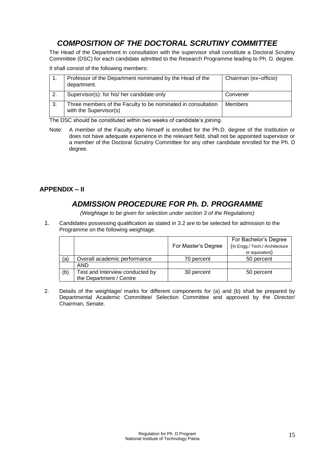# *COMPOSITION OF THE DOCTORAL SCRUTINY COMMITTEE*

<span id="page-15-0"></span>The Head of the Department in consultation with the supervisor shall constitute a Doctoral Scrutiny Committee (DSC) for each candidate admitted to the Research Programme leading to Ph. D. degree.

It shall consist of the following members:

|    | Professor of the Department nominated by the Head of the<br>department.                | Chairman (ex-officio) |
|----|----------------------------------------------------------------------------------------|-----------------------|
| 2. | Supervisor(s): for his/ her candidate only                                             | Convener              |
| 3. | Three members of the Faculty to be nominated in consultation<br>with the Supervisor(s) | <b>Members</b>        |

The DSC should be constituted within two weeks of candidate's joining.

Note: A member of the Faculty who himself is enrolled for the Ph.D. degree of the Institution or does not have adequate experience in the relevant field, shall not be appointed supervisor or a member of the Doctoral Scrutiny Committee for any other candidate enrolled for the Ph. D degree.

### <span id="page-15-2"></span><span id="page-15-1"></span>**APPENDIX – II**

# *ADMISSION PROCEDURE FOR Ph. D. PROGRAMME*

*(Weightage to be given for selection under section 3 of the Regulations)*

1. Candidates possessing qualification as stated in 3.2 are to be selected for admission to the Programme on the following weightage.

|     |                                 |                     | For Bachelor's Degree          |
|-----|---------------------------------|---------------------|--------------------------------|
|     |                                 | For Master's Degree | (In Engg./ Tech./ Architecture |
|     |                                 |                     | or equivalent)                 |
| (a) | Overall academic performance    | 70 percent          | 50 percent                     |
|     | <b>AND</b>                      |                     |                                |
| (b) | Test and Interview conducted by | 30 percent          | 50 percent                     |
|     | the Department / Centre         |                     |                                |

2. Details of the weightage/ marks for different components for (a) and (b) shall be prepared by Departmental Academic Committee/ Selection Committee and approved by the Director/ Chairman, Senate.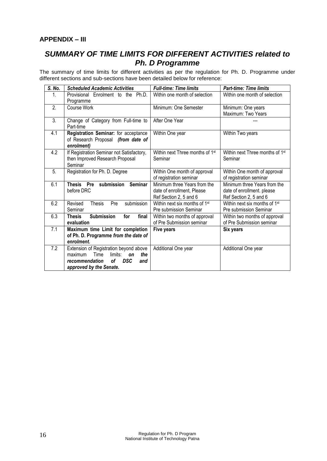### <span id="page-16-1"></span><span id="page-16-0"></span>**APPENDIX – III**

# *SUMMARY OF TIME LIMITS FOR DIFFERENT ACTIVITIES related to Ph. D Programme*

The summary of time limits for different activities as per the regulation for Ph. D. Programme under different sections and sub-sections have been detailed below for reference:

| S. No.           | <b>Scheduled Academic Activities</b>                                                                                                                      | <b>Full-time: Time limits</b>                                                        | <b>Part-time: Time limits</b>                                                        |
|------------------|-----------------------------------------------------------------------------------------------------------------------------------------------------------|--------------------------------------------------------------------------------------|--------------------------------------------------------------------------------------|
| 1.               | Provisional Enrolment to the Ph.D.<br>Programme                                                                                                           | Within one month of selection                                                        | Within one month of selection                                                        |
| 2.               | Course Work                                                                                                                                               | Minimum: One Semester                                                                | Minimum: One years<br>Maximum: Two Years                                             |
| 3.               | Change of Category from Full-time to<br>Part-time                                                                                                         | After One Year                                                                       |                                                                                      |
| 4.1              | Registration Seminar: for acceptance<br>of Research Proposal (from date of<br>enrolment)                                                                  | Within One year                                                                      | Within Two years                                                                     |
| 4.2              | If Registration Seminar not Satisfactory,<br>then Improved Research Proposal<br>Seminar                                                                   | Within next Three months of 1st<br>Seminar                                           | Within next Three months of 1st<br>Seminar                                           |
| $\overline{5}$ . | Registration for Ph. D. Degree                                                                                                                            | Within One month of approval<br>of registration seminar                              | Within One month of approval<br>of registration seminar                              |
| 6.1              | submission<br>Thesis<br><b>Seminar</b><br>Pre<br>before DRC                                                                                               | Minimum three Years from the<br>date of enrollment, Please<br>Ref Section 2, 5 and 6 | Minimum three Years from the<br>date of enrollment. please<br>Ref Section 2, 5 and 6 |
| 6.2              | submission<br>Revised<br><b>Thesis</b><br>Pre<br>Seminar                                                                                                  | Within next six months of 1st<br>Pre submission Seminar                              | Within next six months of 1 <sup>st</sup><br>Pre submission Seminar                  |
| 6.3              | <b>Submission</b><br>final<br>for<br><b>Thesis</b><br>evaluation                                                                                          | Within two months of approval<br>of Pre Submission seminar                           | Within two months of approval<br>of Pre Submission seminar                           |
| 7.1              | Maximum time Limit for completion<br>of Ph. D. Programme from the date of<br>enrolment.                                                                   | Five years                                                                           | Six years                                                                            |
| 7.2              | Extension of Registration beyond above<br>Time<br>maximum<br>limits:<br>the<br>on<br><b>DSC</b><br>recommendation<br>οf<br>and<br>approved by the Senate. | Additional One year                                                                  | Additional One year                                                                  |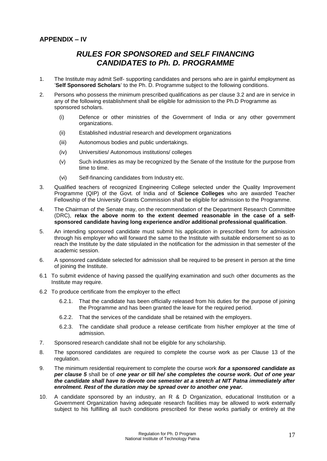### <span id="page-17-1"></span><span id="page-17-0"></span>**APPENDIX – IV**

# *RULES FOR SPONSORED and SELF FINANCING CANDIDATES to Ph. D. PROGRAMME*

- 1. The Institute may admit Self- supporting candidates and persons who are in gainful employment as '**Self Sponsored Scholars**' to the Ph. D. Programme subject to the following conditions.
- 2. Persons who possess the minimum prescribed qualifications as per clause 3.2 and are in service in any of the following establishment shall be eligible for admission to the Ph.D Programme as sponsored scholars.
	- (i) Defence or other ministries of the Government of India or any other government organizations.
	- (ii) Established industrial research and development organizations
	- (iii) Autonomous bodies and public undertakings.
	- (iv) Universities/ Autonomous institutions/ colleges
	- (v) Such industries as may be recognized by the Senate of the Institute for the purpose from time to time.
	- (vi) Self-financing candidates from Industry etc.
- 3. Qualified teachers of recognized Engineering College selected under the Quality Improvement Programme (QIP) of the Govt. of India and of **Science Colleges** who are awarded Teacher Fellowship of the University Grants Commission shall be eligible for admission to the Programme.
- 4. The Chairman of the Senate may, on the recommendation of the Department Research Committee (DRC), **relax the above norm to the extent deemed reasonable in the case of a selfsponsored candidate having long experience and/or additional professional qualification**.
- 5. An intending sponsored candidate must submit his application in prescribed form for admission through his employer who will forward the same to the Institute with suitable endorsement so as to reach the Institute by the date stipulated in the notification for the admission in that semester of the academic session.
- 6. A sponsored candidate selected for admission shall be required to be present in person at the time of joining the Institute.
- 6.1 To submit evidence of having passed the qualifying examination and such other documents as the Institute may require.
- 6.2 To produce certificate from the employer to the effect
	- 6.2.1. That the candidate has been officially released from his duties for the purpose of joining the Programme and has been granted the leave for the required period.
	- 6.2.2. That the services of the candidate shall be retained with the employers.
	- 6.2.3. The candidate shall produce a release certificate from his/her employer at the time of admission.
- 7. Sponsored research candidate shall not be eligible for any scholarship.
- 8. The sponsored candidates are required to complete the course work as per Clause 13 of the regulation.
- 9. The minimum residential requirement to complete the course work *for a sponsored candidate as per clause 5* shall be of *one year or till he/ she completes the course work. Out of one year the candidate shall have to devote one semester at a stretch at NIT Patna immediately after enrolment. Rest of the duration may be spread over to another one year.*
- 10. A candidate sponsored by an industry, an R & D Organization, educational Institution or a Government Organization having adequate research facilities may be allowed to work externally subject to his fulfilling all such conditions prescribed for these works partially or entirely at the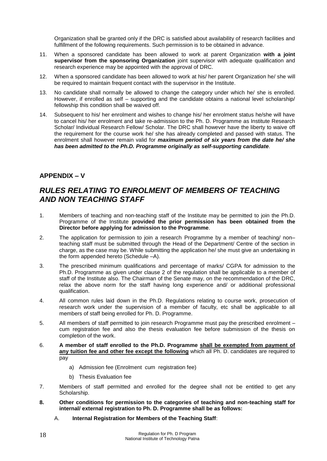Organization shall be granted only if the DRC is satisfied about availability of research facilities and fulfillment of the following requirements. Such permission is to be obtained in advance.

- 11. When a sponsored candidate has been allowed to work at parent Organization **with a joint supervisor from the sponsoring Organization** joint supervisor with adequate qualification and research experience may be appointed with the approval of DRC.
- 12. When a sponsored candidate has been allowed to work at his/ her parent Organization he/ she will be required to maintain frequent contact with the supervisor in the Institute.
- 13. No candidate shall normally be allowed to change the category under which he/ she is enrolled. However, if enrolled as self – supporting and the candidate obtains a national level scholarship/ fellowship this condition shall be waived off.
- 14. Subsequent to his/ her enrolment and wishes to change his/ her enrolment status he/she will have to cancel his/ her enrolment and take re-admission to the Ph. D. Programme as Institute Research Scholar/ Individual Research Fellow/ Scholar. The DRC shall however have the liberty to waive off the requirement for the course work he/ she has already completed and passed with status. The enrolment shall however remain valid for *maximum period of six years from the date he/ she has been admitted to the Ph.D. Programme originally as self-supporting candidate*.

### <span id="page-18-0"></span>**APPENDIX – V**

# <span id="page-18-1"></span>*RULES RELATING TO ENROLMENT OF MEMBERS OF TEACHING AND NON TEACHING STAFF*

- 1. Members of teaching and non-teaching staff of the Institute may be permitted to join the Ph.D. Programme of the Institute **provided the prior permission has been obtained from the Director before applying for admission to the Programme**.
- 2. The application for permission to join a research Programme by a member of teaching/ non– teaching staff must be submitted through the Head of the Department/ Centre of the section in charge, as the case may be. While submitting the application he/ she must give an undertaking in the form appended hereto (Schedule –A).
- 3. The prescribed minimum qualifications and percentage of marks/ CGPA for admission to the Ph.D. Programme as given under clause 2 of the regulation shall be applicable to a member of staff of the Institute also. The Chairman of the Senate may, on the recommendation of the DRC, relax the above norm for the staff having long experience and/ or additional professional qualification.
- 4. All common rules laid down in the Ph.D. Regulations relating to course work, prosecution of research work under the supervision of a member of faculty, etc shall be applicable to all members of staff being enrolled for Ph. D. Programme.
- 5. All members of staff permitted to join research Programme must pay the prescribed enrolment cum registration fee and also the thesis evaluation fee before submission of the thesis on completion of the work.
- 6. **A member of staff enrolled to the Ph.D. Programme shall be exempted from payment of any tuition fee and other fee except the following** which all Ph. D. candidates are required to pay
	- a) Admission fee (Enrolment cum registration fee)
	- b) Thesis Evaluation fee
- 7. Members of staff permitted and enrolled for the degree shall not be entitled to get any Scholarship.
- **8. Other conditions for permission to the categories of teaching and non-teaching staff for internal/ external registration to Ph. D. Programme shall be as follows:** 
	- A. **Internal Registration for Members of the Teaching Staff**: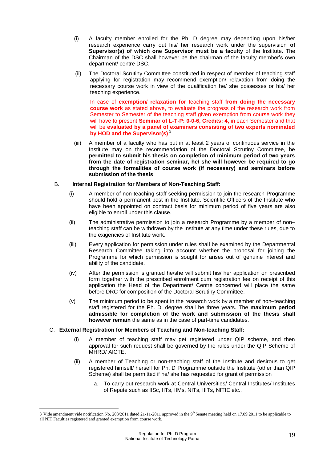- (i) A faculty member enrolled for the Ph. D degree may depending upon his/her research experience carry out his/ her research work under the supervision **of Supervisor(s) of which one Supervisor must be a faculty** of the Institute. The Chairman of the DSC shall however be the chairman of the faculty member's own department/ centre DSC.
- (ii) The Doctoral Scrutiny Committee constituted in respect of member of teaching staff applying for registration may recommend exemption/ relaxation from doing the necessary course work in view of the qualification he/ she possesses or his/ her teaching experience.

In case of **exemption/ relaxation for** teaching staff **from doing the necessary course work** as stated above, to evaluate the progress of the research work from Semester to Semester of the teaching staff given exemption from course work they will have to present **Seminar of L-T-P: 0-0-6, Credits: 4,** in each Semester and that will be **evaluated by a panel of examiners consisting of two experts nominated by HOD and the Supervisor(s)** <sup>3</sup>

(iii) A member of a faculty who has put in at least 2 years of continuous service in the Institute may on the recommendation of the Doctoral Scrutiny Committee, be **permitted to submit his thesis on completion of minimum period of two years from the date of registration seminar, he/ she will however be required to go through the formalities of course work (if necessary) and seminars before submission of the thesis**.

#### B. **Internal Registration for Members of Non-Teaching Staff:**

- (i) A member of non-teaching staff seeking permission to join the research Programme should hold a permanent post in the Institute. Scientific Officers of the Institute who have been appointed on contract basis for minimum period of five years are also eligible to enroll under this clause.
- (ii) The administrative permission to join a research Programme by a member of non– teaching staff can be withdrawn by the Institute at any time under these rules, due to the exigencies of Institute work.
- (iii) Every application for permission under rules shall be examined by the Departmental Research Committee taking into account whether the proposal for joining the Programme for which permission is sought for arises out of genuine interest and ability of the candidate.
- (iv) After the permission is granted he/she will submit his/ her application on prescribed form together with the prescribed enrolment cum registration fee on receipt of this application the Head of the Department/ Centre concerned will place the same before DRC for composition of the Doctoral Scrutiny Committee.
- (v) The minimum period to be spent in the research work by a member of non–teaching staff registered for the Ph. D. degree shall be three years. The **maximum period admissible for completion of the work and submission of the thesis shall however remain** the same as in the case of part-time candidates.

#### C. **External Registration for Members of Teaching and Non-teaching Staff:**

1

- (i) A member of teaching staff may get registered under QIP scheme, and then approval for such request shall be governed by the rules under the QIP Scheme of MHRD/ AICTE.
- (ii) A member of Teaching or non-teaching staff of the Institute and desirous to get registered himself/ herself for Ph. D Programme outside the Institute (other than QIP Scheme) shall be permitted if he/ she has requested for grant of permission
	- a. To carry out research work at Central Universities/ Central Institutes/ Institutes of Repute such as IISc, IITs, IIMs, NITs, IIITs, NITIE etc..

<sup>3</sup> Vide amendment vide notification No. 203/2011 dated 21-11-2011 approved in the  $9<sup>th</sup>$  Senate meeting held on 17.09.2011 to be applicable to all NIT Faculties registered and granted exemption from course work.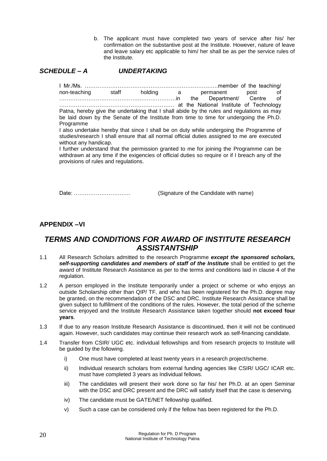b. The applicant must have completed two years of service after his/ her confirmation on the substantive post at the Institute. However, nature of leave and leave salary etc applicable to him/ her shall be as per the service rules of the Institute.

#### <span id="page-20-0"></span>*SCHEDULE – A UNDERTAKING*

I Mr./Ms. ……………………………………………………………….member of the teaching/ non-teaching staff holding a permanent post of the state of the Department Centre of …………………………………….…………………in the Department/ Centre of ……………………………………………………… at the National Institute of Technology Patna, hereby give the undertaking that I shall abide by the rules and regulations as may be laid down by the Senate of the Institute from time to time for undergoing the Ph.D. Programme

I also undertake hereby that since I shall be on duty while undergoing the Programme of studies/research I shall ensure that all normal official duties assigned to me are executed without any handicap.

I further understand that the permission granted to me for joining the Programme can be withdrawn at any time if the exigencies of official duties so require or if I breach any of the provisions of rules and regulations.

Date: …………………………. (Signature of the Candidate with name)

#### <span id="page-20-2"></span><span id="page-20-1"></span>**APPENDIX –VI**

# *TERMS AND CONDITIONS FOR AWARD OF INSTITUTE RESEARCH ASSISTANTSHIP*

- 1.1 All Research Scholars admitted to the research Programme *except the sponsored scholars, self-supporting candidates and members of staff of the Institute* shall be entitled to get the award of Institute Research Assistance as per to the terms and conditions laid in clause 4 of the regulation.
- 1.2 A person employed in the Institute temporarily under a project or scheme or who enjoys an outside Scholarship other than QIP/ TF, and who has been registered for the Ph.D. degree may be granted, on the recommendation of the DSC and DRC. Institute Research Assistance shall be given subject to fulfillment of the conditions of the rules. However, the total period of the scheme service enjoyed and the Institute Research Assistance taken together should **not exceed four years**.
- 1.3 If due to any reason Institute Research Assistance is discontinued, then it will not be continued again. However, such candidates may continue their research work as self-financing candidate.
- 1.4 Transfer from CSIR/ UGC etc. individual fellowships and from research projects to Institute will be guided by the following.
	- i) One must have completed at least twenty years in a research project/scheme.
	- ii) Individual research scholars from external funding agencies like CSIR/ UGC/ ICAR etc. must have completed 3 years as Individual fellows.
	- iii) The candidates will present their work done so far his/ her Ph.D. at an open Seminar with the DSC and DRC present and the DRC will satisfy itself that the case is deserving.
	- iv) The candidate must be GATE/NET fellowship qualified.
	- v) Such a case can be considered only if the fellow has been registered for the Ph.D.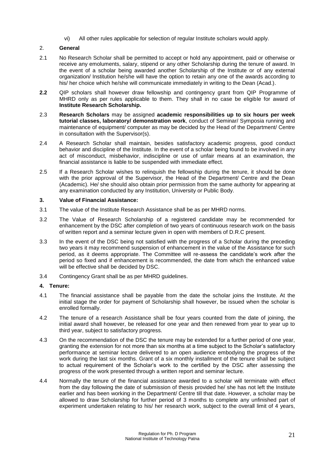vi) All other rules applicable for selection of regular Institute scholars would apply.

#### 2. **General**

- 2.1 No Research Scholar shall be permitted to accept or hold any appointment, paid or otherwise or receive any emoluments, salary, stipend or any other Scholarship during the tenure of award. In the event of a scholar being awarded another Scholarship of the Institute or of any external organization/ Institution he/she will have the option to retain any one of the awards according to his/ her choice which he/she will communicate immediately in writing to the Dean (Acad.).
- **2.2** QIP scholars shall however draw fellowship and contingency grant from QIP Programme of MHRD only as per rules applicable to them. They shall in no case be eligible for award of **Institute Research Scholarship.**
- 2.3 **Research Scholars** may be assigned **academic responsibilities up to six hours per week tutorial classes, laboratory/ demonstration work**, conduct of Seminar/ Symposia running and maintenance of equipment/ computer as may be decided by the Head of the Department/ Centre in consultation with the Supervisor(s).
- 2.4 A Research Scholar shall maintain, besides satisfactory academic progress, good conduct behavior and discipline of the Institute. In the event of a scholar being found to be involved in any act of misconduct, misbehavior, indiscipline or use of unfair means at an examination, the financial assistance is liable to be suspended with immediate effect.
- 2.5 If a Research Scholar wishes to relinquish the fellowship during the tenure, it should be done with the prior approval of the Supervisor, the Head of the Department/ Centre and the Dean (Academic). He/ she should also obtain prior permission from the same authority for appearing at any examination conducted by any Institution, University or Public Body.

#### **3. Value of Financial Assistance:**

- 3.1 The value of the Institute Research Assistance shall be as per MHRD norms.
- 3.2 The Value of Research Scholarship of a registered candidate may be recommended for enhancement by the DSC after completion of two years of continuous research work on the basis of written report and a seminar lecture given in open with members of D.R.C present.
- 3.3 In the event of the DSC being not satisfied with the progress of a Scholar during the preceding two years it may recommend suspension of enhancement in the value of the Assistance for such period, as it deems appropriate. The Committee will re-assess the candidate's work after the period so fixed and if enhancement is recommended, the date from which the enhanced value will be effective shall be decided by DSC.
- 3.4 Contingency Grant shall be as per MHRD guidelines.

#### **4. Tenure:**

- 4.1 The financial assistance shall be payable from the date the scholar joins the Institute. At the initial stage the order for payment of Scholarship shall however, be issued when the scholar is enrolled formally.
- 4.2 The tenure of a research Assistance shall be four years counted from the date of joining, the initial award shall however, be released for one year and then renewed from year to year up to third year, subject to satisfactory progress.
- 4.3 On the recommendation of the DSC the tenure may be extended for a further period of one year, granting the extension for not more than six months at a time subject to the Scholar's satisfactory performance at seminar lecture delivered to an open audience embodying the progress of the work during the last six months. Grant of a six monthly installment of the tenure shall be subject to actual requirement of the Scholar's work to the certified by the DSC after assessing the progress of the work presented through a written report and seminar lecture.
- 4.4 Normally the tenure of the financial assistance awarded to a scholar will terminate with effect from the day following the date of submission of thesis provided he/ she has not left the Institute earlier and has been working in the Department/ Centre till that date. However, a scholar may be allowed to draw Scholarship for further period of 3 months to complete any unfinished part of experiment undertaken relating to his/ her research work, subject to the overall limit of 4 years,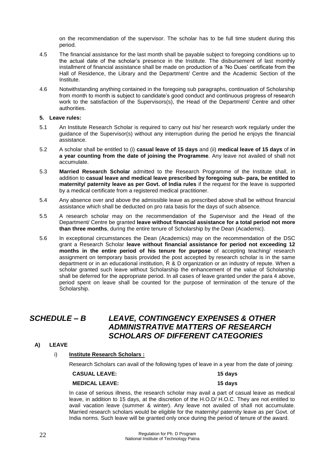on the recommendation of the supervisor. The scholar has to be full time student during this period.

- 4.5 The financial assistance for the last month shall be payable subject to foregoing conditions up to the actual date of the scholar's presence in the Institute. The disbursement of last monthly installment of financial assistance shall be made on production of a 'No Dues' certificate from the Hall of Residence, the Library and the Department/ Centre and the Academic Section of the Institute.
- 4.6 Notwithstanding anything contained in the foregoing sub paragraphs, continuation of Scholarship from month to month is subject to candidate's good conduct and continuous progress of research work to the satisfaction of the Supervisors(s), the Head of the Department/ Centre and other authorities.

#### **5. Leave rules:**

- 5.1 An Institute Research Scholar is required to carry out his/ her research work regularly under the guidance of the Supervisor(s) without any interruption during the period he enjoys the financial assistance.
- 5.2 A scholar shall be entitled to (i) **casual leave of 15 days** and (ii) **medical leave of 15 days** of **in a year counting from the date of joining the Programme**. Any leave not availed of shall not accumulate.
- 5.3 **Married Research Scholar** admitted to the Research Programme of the Institute shall, in addition to **casual leave and medical leave prescribed by foregoing sub- para, be entitled to maternity/ paternity leave as per Govt. of India rules** if the request for the leave is supported by a medical certificate from a registered medical practitioner.
- 5.4 Any absence over and above the admissible leave as prescribed above shall be without financial assistance which shall be deducted on pro rata basis for the days of such absence.
- 5.5 A research scholar may on the recommendation of the Supervisor and the Head of the Department/ Centre be granted **leave without financial assistance for a total period not more than three months**, during the entire tenure of Scholarship by the Dean (Academic).
- 5.6 In exceptional circumstances the Dean (Academics) may on the recommendation of the DSC grant a Research Scholar **leave without financial assistance for period not exceeding 12 months in the entire period of his tenure for purpose** of accepting teaching/ research assignment on temporary basis provided the post accepted by research scholar is in the same department or in an educational institution, R & D organization or an industry of repute. When a scholar granted such leave without Scholarship the enhancement of the value of Scholarship shall be deferred for the appropriate period. In all cases of leave granted under the para 4 above, period spent on leave shall be counted for the purpose of termination of the tenure of the Scholarship.

## <span id="page-22-0"></span>*SCHEDULE – B LEAVE, CONTINGENCY EXPENSES & OTHER ADMINISTRATIVE MATTERS OF RESEARCH SCHOLARS OF DIFFERENT CATEGORIES*

- **A) LEAVE** 
	- i) **Institute Research Scholars :**

Research Scholars can avail of the following types of leave in a year from the date of joining:

#### **CASUAL LEAVE: 15 days**

#### **MEDICAL LEAVE: 15 days**

In case of serious illness, the research scholar may avail a part of casual leave as medical leave, in addition to 15 days, at the discretion of the H.O.D/ H.O.C. They are not entitled to avail vacation leave (summer & winter). Any leave not availed of shall not accumulate. Married research scholars would be eligible for the maternity/ paternity leave as per Govt. of India norms. Such leave will be granted only once during the period of tenure of the award.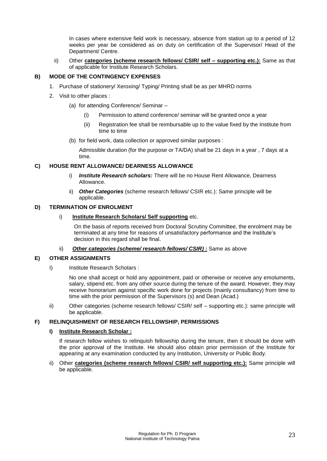In cases where extensive field work is necessary, absence from station up to a period of 12 weeks per year be considered as on duty on certification of the Supervisor/ Head of the Department/ Centre.

ii) Other **categories (scheme research fellows/ CSIR/ self – supporting etc.):** Same as that of applicable for Institute Research Scholars.

#### **B) MODE OF THE CONTINGENCY EXPENSES**

- 1. Purchase of stationery/ Xeroxing/ Typing/ Printing shall be as per MHRD norms
- 2. Visit to other places :
	- (a) for attending Conference/ Seminar
		- (i) Permission to attend conference/ seminar will be granted once a year
		- (ii) Registration fee shall be reimbursable up to the value fixed by the Institute from time to time
	- (b) for field work, data collection or approved similar purposes :

Admissible duration (for the purpose or TA/DA) shall be 21 days in a year , 7 days at a time.

#### **C) HOUSE RENT ALLOWANCE/ DEARNESS ALLOWANCE**

- i) *Institute Research scholars:* There will be no House Rent Allowance, Dearness Allowance.
- ii) *Other Categories* (scheme research fellows/ CSIR etc.): Same principle will be applicable.

#### **D) TERMINATION OF ENROLMENT**

i) **Institute Research Scholars/ Self supporting** etc.

On the basis of reports received from Doctoral Scrutiny Committee, the enrolment may be terminated at any time for reasons of unsatisfactory performance and the Institute's decision in this regard shall be final.

ii) *Other categories (scheme/ research fellows/ CSIR)* **:** Same as above

#### **E) OTHER ASSIGNMENTS**

I) Institute Research Scholars :

No one shall accept or hold any appointment, paid or otherwise or receive any emoluments, salary, stipend etc. from any other source during the tenure of the award. However, they may receive honorarium against specific work done for projects (mainly consultancy) from time to time with the prior permission of the Supervisors (s) and Dean (Acad.)

ii) Other categories (scheme research fellows/ CSIR/ self – supporting etc.): same principle will be applicable.

#### **F) RELINQUISHMENT OF RESEARCH FELLOWSHIP, PERMISSIONS**

#### **I) Institute Research Scholar :**

If research fellow wishes to relinquish fellowship during the tenure, then it should be done with the prior approval of the Institute. He should also obtain prior permission of the Institute for appearing at any examination conducted by any Institution, University or Public Body.

ii) Other **categories (scheme research fellows/ CSIR/ self supporting etc.):** Same principle will be applicable.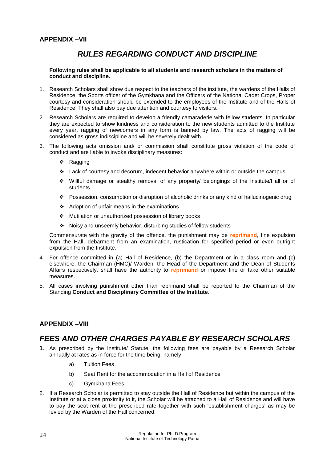# *RULES REGARDING CONDUCT AND DISCIPLINE*

<span id="page-24-1"></span><span id="page-24-0"></span>**Following rules shall be applicable to all students and research scholars in the matters of conduct and discipline.**

- 1. Research Scholars shall show due respect to the teachers of the institute, the wardens of the Halls of Residence, the Sports officer of the Gymkhana and the Officers of the National Cadet Crops, Proper courtesy and consideration should be extended to the employees of the Institute and of the Halls of Residence. They shall also pay due attention and courtesy to visitors.
- 2. Research Scholars are required to develop a friendly camaraderie with fellow students. In particular they are expected to show kindness and consideration to the new students admitted to the Institute every year, ragging of newcomers in any form is banned by law. The acts of ragging will be considered as gross indiscipline and will be severely dealt with.
- 3. The following acts omission and/ or commission shall constitute gross violation of the code of conduct and are liable to invoke disciplinary measures:
	- ❖ Ragging
	- $\cdot \cdot$  Lack of courtesy and decorum, indecent behavior anywhere within or outside the campus
	- Willful damage or stealthy removal of any property/ belongings of the Institute/Hall or of students
	- Possession, consumption or disruption of alcoholic drinks or any kind of hallucinogenic drug
	- Adoption of unfair means in the examinations
	- Mutilation or unauthorized possession of library books
	- Noisy and unseemly behavior, disturbing studies of fellow students

Commensurate with the gravity of the offence, the punishment may be **reprimand**, fine expulsion from the Hall, debarment from an examination, rustication for specified period or even outright expulsion from the Institute.

- 4. For offence committed in (a) Hall of Residence, (b) the Department or in a class room and (c) elsewhere, the Chairman (HMC)/ Warden, the Head of the Department and the Dean of Students Affairs respectively, shall have the authority to **reprimand** or impose fine or take other suitable measures.
- 5. All cases involving punishment other than reprimand shall be reported to the Chairman of the Standing **Conduct and Disciplinary Committee of the Institute**.

### <span id="page-24-3"></span><span id="page-24-2"></span>**APPENDIX –VIII**

# *FEES AND OTHER CHARGES PAYABLE BY RESEARCH SCHOLARS*

- 1. As prescribed by the Institute/ Statute, the following fees are payable by a Research Scholar annually at rates as in force for the time being, namely
	- a) Tuition Fees
	- b) Seat Rent for the accommodation in a Hall of Residence
	- c) Gymkhana Fees
- 2. If a Research Scholar is permitted to stay outside the Hall of Residence but within the campus of the Institute or at a close proximity to it, the Scholar will be attached to a Hall of Residence and will have to pay the seat rent at the prescribed rate together with such 'establishment charges' as may be levied by the Warden of the Hall concerned.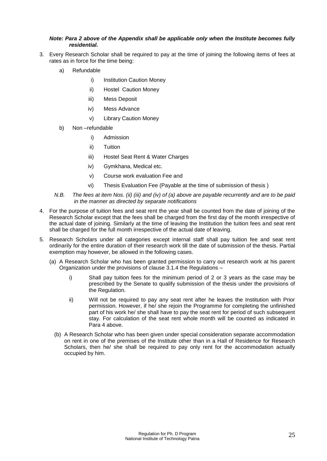#### *Note: Para 2 above of the Appendix shall be applicable only when the Institute becomes fully residential.*

- 3. Every Research Scholar shall be required to pay at the time of joining the following items of fees at rates as in force for the time being:
	- a) Refundable
		- i) Institution Caution Money
		- ii) Hostel Caution Money
		- iii) Mess Deposit
		- iv) Mess Advance
		- v) Library Caution Money
	- b) Non –refundable
		- i) Admission
		- ii) Tuition
		- iii) Hostel Seat Rent & Water Charges
		- iv) Gymkhana, Medical etc.
		- v) Course work evaluation Fee and
		- vi) Thesis Evaluation Fee (Payable at the time of submission of thesis )
	- *N.B. The fees at item Nos. (ii) (iii) and (iv) of (a) above are payable recurrently and are to be paid in the manner as directed by separate notifications*
- 4. For the purpose of tuition fees and seat rent the year shall be counted from the date of joining of the Research Scholar except that the fees shall be charged from the first day of the month irrespective of the actual date of joining. Similarly at the time of leaving the Institution the tuition fees and seat rent shall be charged for the full month irrespective of the actual date of leaving.
- 5. Research Scholars under all categories except internal staff shall pay tuition fee and seat rent ordinarily for the entire duration of their research work till the date of submission of the thesis. Partial exemption may however, be allowed in the following cases.
	- (a) A Research Scholar who has been granted permission to carry out research work at his parent Organization under the provisions of clause 3.1.4 the Regulations –
		- i) Shall pay tuition fees for the minimum period of 2 or 3 years as the case may be prescribed by the Senate to qualify submission of the thesis under the provisions of the Regulation.
		- ii) Will not be required to pay any seat rent after he leaves the Institution with Prior permission. However, if he/ she rejoin the Programme for completing the unfinished part of his work he/ she shall have to pay the seat rent for period of such subsequent stay. For calculation of the seat rent whole month will be counted as indicated in Para 4 above.
		- (b) A Research Scholar who has been given under special consideration separate accommodation on rent in one of the premises of the Institute other than in a Hall of Residence for Research Scholars, then he/ she shall be required to pay only rent for the accommodation actually occupied by him.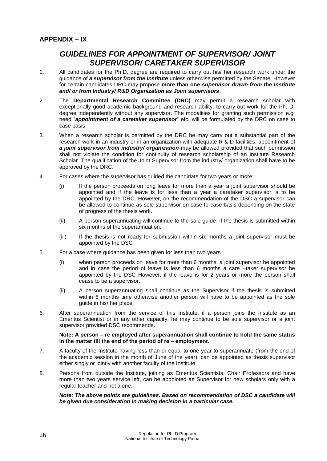# <span id="page-26-1"></span><span id="page-26-0"></span>*GUIDELINES FOR APPOINTMENT OF SUPERVISOR/ JOINT SUPERVISOR/ CARETAKER SUPERVISOR*

- 1. All candidates for the Ph.D. degree are required to carry out his/ her research work under the guidance of *a supervisor from the Institute* unless otherwise permitted by the Senate. However for certain candidates DRC may propose **more than one** *supervisor drawn from the Institute and/ or from Industry/ R&D Organization as Joint supervisors*.
- 2. The **Departmental Research Committee (DRC)** may permit a research scholar with exceptionally good academic background and research ability, to carry out work for the Ph. D. degree independently without any supervisor. The modalities for granting such permission e.g. need "*appointment of a caretaker supervisor*" etc. will be formulated by the DRC on case to case basis.
- 3. When a research scholar is permitted by the DRC he may carry out a substantial part of the research work in an industry or in an organization with adequate R & D facilities, appointment of *a joint supervisor from industry/ organization* may be allowed provided that such permission shall not violate the condition for continuity of research scholarship of an Institute Research Scholar. The qualification of the Joint Supervisor from the industry/ organization shall have to be approved by the DRC.
- 4. For cases where the supervisor has guided the candidate for two years or more:
	- (i) If the person proceeds on long leave for more than a year a joint supervisor should be appointed and if the leave is for less than a year a caretaker supervisor is to be appointed by the DRC. However, on the recommendation of the DSC a supervisor can be allowed to continue as sole supervisor on case to case basis depending on the state of progress of the thesis work.
	- (ii) A person superannuating will continue to the sole guide, if the thesis is submitted within six months of the superannuation.
	- (iii) If the thesis is not ready for submission within six months a joint supervisor must be appointed by the DSC
- 5. For a case where guidance has been given for less than two years :
	- (i) when person proceeds on leave for mote than 6 months, a joint supervisor be appointed and in case the period of leave is less than 6 months a care –taker supervisor be appointed by the DSC However, if the leave is for 2 years or more the person shall cease to be a supervisor.
	- (ii) A person superannuating shall continue as the Supervisor if the thesis is submitted within 6 months time otherwise another person will have to be appointed as the sole guide in his/ her place.
- 6. After superannuation from the service of this Institute, if a person joins the Institute as an Emeritus Scientist or in any other capacity, he may continue to be sole supervisor or a joint supervisor provided DSC recommends.

#### **Note: A person – re employed after superannuation shall continue to hold the same status in the matter till the end of the period of re – employment.**

- 7. A faculty of the Institute having less than or equal to one year to superannuate (from the end of the academic session in the month of June of the year), can be appointed as thesis supervisor either singly or jointly with another faculty of the Institute.
- 8. Persons from outside the Institute, joining as Emeritus Scientists, Chair Professors and have more than two years service left, can be appointed as Supervisor for new scholars only with a regular teacher and not alone.

#### *Note: The above points are guidelines. Based on recommendation of DSC a candidate will be given due consideration in making decision in a particular case.*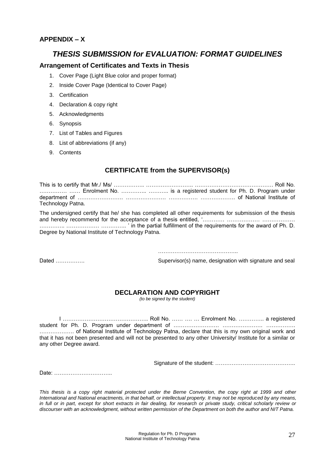### <span id="page-27-1"></span><span id="page-27-0"></span>**APPENDIX – X**

## *THESIS SUBMISSION for EVALUATION: FORMAT GUIDELINES*

#### **Arrangement of Certificates and Texts in Thesis**

- 1. Cover Page (Light Blue color and proper format)
- 2. Inside Cover Page (Identical to Cover Page)
- 3. Certification
- 4. Declaration & copy right
- 5. Acknowledgments
- 6. Synopsis
- 7. List of Tables and Figures
- 8. List of abbreviations (if any)
- 9. Contents

### **CERTIFICATE from the SUPERVISOR(s)**

This is to certify that Mr./ Ms/ …………….. …………………….. ……………………………………. Roll No. ................................. Enrolment No. ................................ is a registered student for Ph. D. Program under department of ……………………. …………………. ……………. ………………. of National Institute of Technology Patna.

The undersigned certify that he/ she has completed all other requirements for submission of the thesis and hereby recommend for the acceptance of a thesis entitled, '………… ……………………………… ………….. ……………… ………….. ' in the partial fulfillment of the requirements for the award of Ph. D. Degree by National Institute of Technology Patna.

……………………………………………

Dated ……………. Supervisor(s) name, designation with signature and seal

### **DECLARATION AND COPYRIGHT**

*(to be signed by the student)*

I ……………………………………….. Roll No. …… …. … Enrolment No. ………….. a registered student for Ph. D. Program under department of …………………… ……………………………………………………………… ………………. of National Institute of Technology Patna, declare that this is my own original work and that it has not been presented and will not be presented to any other University/ Institute for a similar or any other Degree award.

Signature of the student: ……………………………………..

Date: …………………………..

*This thesis is a copy right material protected under the Berne Convention, the copy right at 1999 and other International and National enactments, in that behalf, or intellectual property. It may not be reproduced by any means, in full or in part, except for short extracts in fair dealing, for research or private study, critical scholarly review or discourser with an acknowledgment, without written permission of the Department on both the author and NIT Patna.*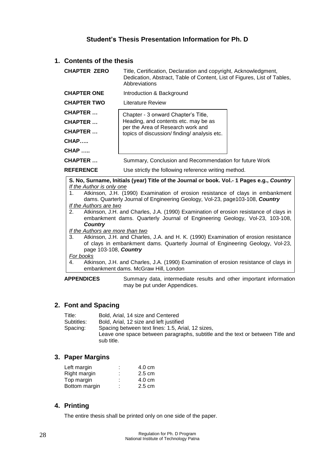### **Student's Thesis Presentation Information for Ph. D**

#### **1. Contents of the thesis**

| <b>CHAPTER ZERO</b> | Title, Certification, Declaration and copyright, Acknowledgment,<br>Dedication, Abstract, Table of Content, List of Figures, List of Tables,<br>Abbreviations |  |
|---------------------|---------------------------------------------------------------------------------------------------------------------------------------------------------------|--|
| <b>CHAPTER ONE</b>  | Introduction & Background                                                                                                                                     |  |
| <b>CHAPTER TWO</b>  | Literature Review                                                                                                                                             |  |
| CHAPTER             | Chapter - 3 onward Chapter's Title,                                                                                                                           |  |
| CHAPTER             | Heading, and contents etc. may be as                                                                                                                          |  |
| <b>CHAPTER</b>      | per the Area of Research work and<br>topics of discussion/finding/analysis etc.                                                                               |  |
| $CHAP$              |                                                                                                                                                               |  |
| <b>CHAP </b>        |                                                                                                                                                               |  |
| <b>CHAPTER</b>      | Summary, Conclusion and Recommendation for future Work                                                                                                        |  |
| <b>REFERENCE</b>    | Use strictly the following reference writing method.                                                                                                          |  |

**S. No, Surname, Initials (year) Title of the Journal or book. Vol.- 1 Pages e.g.,** *Country If the Author is only one*

1. Atkinson, J.H. (1990) Examination of erosion resistance of clays in embankment dams. Quarterly Journal of Engineering Geology, Vol-23, page103-108, *Country If the Authors are two*

2. Atkinson, J.H. and Charles, J.A. (1990) Examination of erosion resistance of clays in embankment dams. Quarterly Journal of Engineering Geology, Vol-23, 103-108, *Country*

*If the Authors are more than two*

3. Atkinson, J.H. and Charles, J.A. and H. K. (1990) Examination of erosion resistance of clays in embankment dams. Quarterly Journal of Engineering Geology, Vol-23, page 103-108, *Country*

#### *For books*

4. Atkinson, J.H. and Charles, J.A. (1990) Examination of erosion resistance of clays in embankment dams. McGraw Hill, London

**APPENDICES** Summary data, intermediate results and other important information may be put under Appendices.

#### **2. Font and Spacing**

| Title:     | Bold. Arial. 14 size and Centered                                                                                                   |
|------------|-------------------------------------------------------------------------------------------------------------------------------------|
| Subtitles: | Bold, Arial, 12 size and left justified                                                                                             |
| Spacing:   | Spacing between text lines: 1.5, Arial, 12 sizes,<br>Leave one space between paragraphs, subtitle and the text or between Title and |
|            | sub title.                                                                                                                          |

#### **3. Paper Margins**

| Left margin   | ٠<br>٠              | 4.0 cm           |
|---------------|---------------------|------------------|
| Right margin  | ٠<br>$\blacksquare$ | $2.5 \text{ cm}$ |
| Top margin    | ٠<br>$\mathbf{r}$   | 4.0 cm           |
| Bottom margin | ٠<br>$\mathbf{r}$   | $2.5 \text{ cm}$ |
|               |                     |                  |

### **4. Printing**

The entire thesis shall be printed only on one side of the paper.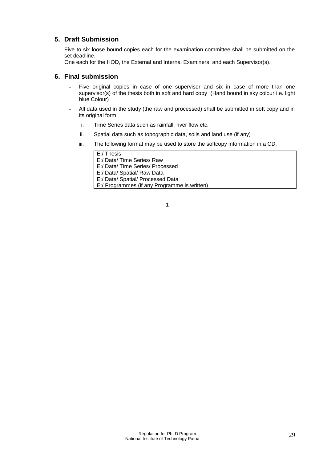#### **5. Draft Submission**

Five to six loose bound copies each for the examination committee shall be submitted on the set deadline.

One each for the HOD, the External and Internal Examiners, and each Supervisor(s).

### **6. Final submission**

- Five original copies in case of one supervisor and six in case of more than one supervisor(s) of the thesis both in soft and hard copy (Hand bound in sky colour i.e. light blue Colour)
- All data used in the study (the raw and processed) shall be submitted in soft copy and in its original form
	- i. Time Series data such as rainfall, river flow etc.
	- ii. Spatial data such as topographic data, soils and land use (if any)
	- iii. The following format may be used to store the softcopy information in a CD.

E:/ Thesis E:/ Data/ Time Series/ Raw E:/ Data/ Time Series/ Processed E:/ Data/ Spatial/ Raw Data E:/ Data/ Spatial/ Processed Data E:/ Programmes (if any Programme is written)

1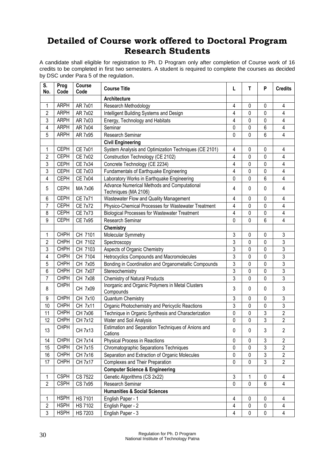# <span id="page-30-0"></span>**Detailed of Course work offered to Doctoral Program Research Students**

A candidate shall eligible for registration to Ph. D Program only after completion of Course work of 16 credits to be completed in first two semesters. A student is required to complete the courses as decided by DSC under Para 5 of the regulation.

| S.<br>No.      | Prog<br>Code | Course<br>Code | <b>Course Title</b>                                                 | L              | T            | P              | <b>Credits</b> |
|----------------|--------------|----------------|---------------------------------------------------------------------|----------------|--------------|----------------|----------------|
|                |              |                | Architecture                                                        |                |              |                |                |
| 1              | <b>ARPH</b>  | AR 7x01        | Research Methodology                                                | 4              | 0            | $\mathbf 0$    | $\overline{4}$ |
| $\overline{c}$ | <b>ARPH</b>  | AR 7x02        | Intelligent Building Systems and Design                             | 4              | 0            | 0              | 4              |
| 3              | <b>ARPH</b>  | AR 7x03        | Energy, Technology and Habitats                                     | 4              | $\mathbf 0$  | $\mathbf 0$    | 4              |
| 4              | <b>ARPH</b>  | AR 7x04        | Seminar                                                             | 0              | 0            | 6              | 4              |
| 5              | <b>ARPH</b>  | AR 7x95        | Research Seminar                                                    | 0              | $\mathbf 0$  | 6              | 4              |
|                |              |                | <b>Civil Engineering</b>                                            |                |              |                |                |
| 1              | <b>CEPH</b>  | <b>CE 7x01</b> | System Analysis and Optimization Techniques (CE 2101)               | 4              | 0            | $\pmb{0}$      | 4              |
| $\overline{c}$ | <b>CEPH</b>  | <b>CE 7x02</b> | Construction Technology (CE 2102)                                   | 4              | 0            | 0              | 4              |
| 3              | <b>CEPH</b>  | CE 7x34        | Concrete Technology (CE 2234)                                       | 4              | 0            | 0              | $\overline{4}$ |
| 3              | <b>CEPH</b>  | <b>CE 7x03</b> | Fundamentals of Earthquake Engineering                              | 4              | $\mathbf{0}$ | $\mathbf 0$    | 4              |
| 4              | <b>CEPH</b>  | <b>CE 7x04</b> | Laboratory Works in Earthquake Engineering                          | 0              | 0            | 6              | 4              |
| 5              | <b>CEPH</b>  | MA 7x06        | Advance Numerical Methods and Computational<br>Techniques (MA 2106) | 4              | $\mathbf{0}$ | 0              | $\overline{4}$ |
| 6              | <b>CEPH</b>  | <b>CE 7x71</b> | Wastewater Flow and Quality Management                              | 4              | 0            | 0              | $\overline{4}$ |
| 7              | <b>CEPH</b>  | <b>CE 7x72</b> | Physico-Chemical Processes for Wastewater Treatment                 | 4              | 0            | 0              | 4              |
| 8              | <b>CEPH</b>  | <b>CE 7x73</b> | <b>Biological Processes for Wastewater Treatment</b>                | 4              | $\Omega$     | 0              | 4              |
| 9              | <b>CEPH</b>  | <b>CE 7x95</b> | Research Seminar                                                    | 0              | $\mathbf 0$  | 6              | 4              |
|                |              |                | <b>Chemistry</b>                                                    |                |              |                |                |
| 1              | <b>CHPH</b>  | CH 7101        | Molecular Symmetry                                                  | 3              | 0            | 0              | $\sqrt{3}$     |
| $\overline{c}$ | <b>CHPH</b>  | CH 7102        | Spectroscopy                                                        | 3              | 0            | 0              | $\sqrt{3}$     |
| 3              | <b>CHPH</b>  | CH 7103        | Aspects of Organic Chemistry                                        | 3              | 0            | 0              | 3              |
| 4              | <b>CHPH</b>  | CH 7104        | Hetrocyclics Compounds and Macromolecules                           | 3              | $\mathbf 0$  | $\pmb{0}$      | 3              |
| 5              | <b>CHPH</b>  | CH 7x05        | Bonding in Coordination and Organometallic Compounds                | 3              | 0            | 0              | 3              |
| 6              | <b>CHPH</b>  | CH 7x07        | Stereochemistry                                                     | 3              | 0            | 0              | 3              |
| 7              | <b>CHPH</b>  | CH 7x08        | <b>Chemistry of Natural Products</b>                                | 3              | $\mathbf{0}$ | 0              | 3              |
| 8              | <b>CHPH</b>  | CH 7x09        | Inorganic and Organic Polymers in Metal Clusters<br>Compounds       | 3              | $\mathbf{0}$ | $\mathbf{0}$   | 3              |
| 9              | <b>CHPH</b>  | CH 7x10        | Quantum Chemistry                                                   | 3              | $\mathbf 0$  | 0              | 3              |
| 10             | <b>CHPH</b>  | CH 7x11        | Organic Photochemistry and Pericyclic Reactions                     | 3              | $\mathbf 0$  | $\mathbf 0$    | 3              |
| 11             | <b>CHPH</b>  | CH 7x06        | Technique in Organic Synthesis and Characterization                 | 0              | $\mathbf 0$  | 3              | $\overline{2}$ |
| 12             | <b>CHPH</b>  | CH 7x12        | Water and Soil Analysis                                             | 0              | $\mathbf 0$  | 3              | $\sqrt{2}$     |
| 13             | <b>CHPH</b>  | CH 7x13        | Estimation and Separation Techniques of Anions and<br>Cations       | 0              | $\pmb{0}$    | 3              | $\overline{2}$ |
| 14             | <b>CHPH</b>  | <b>CH 7x14</b> | Physical Process in Reactions                                       | 0              | $\pmb{0}$    | 3              | $\overline{2}$ |
| 15             | <b>CHPH</b>  | CH 7x15        | <b>Chromatographic Separations Techniques</b>                       | 0              | $\mathbf 0$  | 3              | $\overline{2}$ |
| 16             | <b>CHPH</b>  | CH 7x16        | Separation and Extraction of Organic Molecules                      | 0              | $\mathbf 0$  | $\overline{3}$ | $\overline{2}$ |
| 17             | <b>CHPH</b>  | <b>CH 7x17</b> | Complexes and Their Preparation                                     | 0              | $\mathbf 0$  | $\overline{3}$ | $\overline{2}$ |
|                |              |                | <b>Computer Science &amp; Engineering</b>                           |                |              |                |                |
| $\mathbf{1}$   | <b>CSPH</b>  | CS 7522        | Genetic Algorithms (CS 2x22)                                        | 3              | 1            | 0              | $\overline{4}$ |
| $\overline{2}$ | <b>CSPH</b>  | CS 7x95        | Research Seminar                                                    | 0              | $\mathbf{0}$ | $6\phantom{1}$ | 4              |
|                |              |                | <b>Humanities &amp; Social Sciences</b>                             |                |              |                |                |
| 1              | <b>HSPH</b>  | <b>HS 7101</b> | English Paper - 1                                                   | 4              | $\mathbf 0$  | $\pmb{0}$      | 4              |
| $\sqrt{2}$     | <b>HSPH</b>  | <b>HS 7102</b> | English Paper - 2                                                   | 4              | $\pmb{0}$    | $\pmb{0}$      | 4              |
| 3              | <b>HSPH</b>  | <b>HS 7203</b> | English Paper - 3                                                   | $\overline{4}$ | $\pmb{0}$    | $\pmb{0}$      | $\overline{4}$ |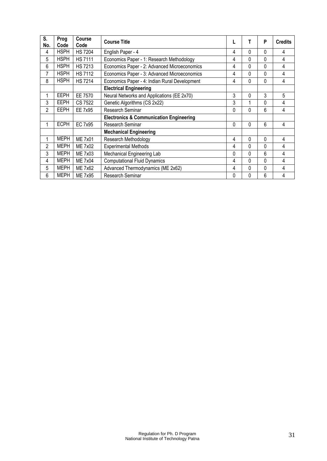| S.<br>No. | Prog<br>Code | Course<br>Code | <b>Course Title</b>                                |   | Т        | P | <b>Credits</b> |
|-----------|--------------|----------------|----------------------------------------------------|---|----------|---|----------------|
| 4         | <b>HSPH</b>  | <b>HS 7204</b> | English Paper - 4                                  | 4 | 0        | 0 | 4              |
| 5         | <b>HSPH</b>  | <b>HS7111</b>  | Economics Paper - 1: Research Methodology          | 4 | 0        | 0 | 4              |
| 6         | <b>HSPH</b>  | <b>HS7213</b>  | Economics Paper - 2: Advanced Microeconomics       | 4 | 0        | 0 | 4              |
| 7         | <b>HSPH</b>  | <b>HS7112</b>  | Economics Paper - 3: Advanced Microeconomics       | 4 | 0        | 0 | 4              |
| 8         | <b>HSPH</b>  | <b>HS7214</b>  | Economics Paper - 4: Indian Rural Development      | 4 | 0        | 0 | 4              |
|           |              |                | <b>Electrical Engineering</b>                      |   |          |   |                |
|           | <b>EEPH</b>  | EE 7570        | Neural Networks and Applications (EE 2x70)         | 3 | $\Omega$ | 3 | 5              |
| 3         | <b>EEPH</b>  | CS 7522        | Genetic Algorithms (CS 2x22)                       | 3 | 1        | 0 | 4              |
| 2         | <b>EEPH</b>  | EE 7x95        | Research Seminar                                   | 0 | 0        | 6 | 4              |
|           |              |                | <b>Electronics &amp; Communication Engineering</b> |   |          |   |                |
|           | <b>ECPH</b>  | EC 7x95        | Research Seminar                                   | 0 | $\Omega$ | 6 | 4              |
|           |              |                | <b>Mechanical Engineering</b>                      |   |          |   |                |
| 1         | <b>MEPH</b>  | <b>ME 7x01</b> | Research Methodology                               | 4 | $\Omega$ | 0 | 4              |
| 2         | <b>MEPH</b>  | <b>ME 7x02</b> | <b>Experimental Methods</b>                        | 4 | 0        | 0 | 4              |
| 3         | <b>MEPH</b>  | <b>ME 7x03</b> | Mechanical Engineering Lab                         | 0 | 0        | 6 | 4              |
| 4         | <b>MEPH</b>  | <b>ME 7x04</b> | <b>Computational Fluid Dynamics</b>                | 4 | 0        | 0 | 4              |
| 5         | <b>MEPH</b>  | ME 7x62        | Advanced Thermodynamics (ME 2x62)                  | 4 | $\Omega$ | 0 | 4              |
| 6         | <b>MEPH</b>  | ME 7x95        | Research Seminar                                   | 0 | 0        | 6 | 4              |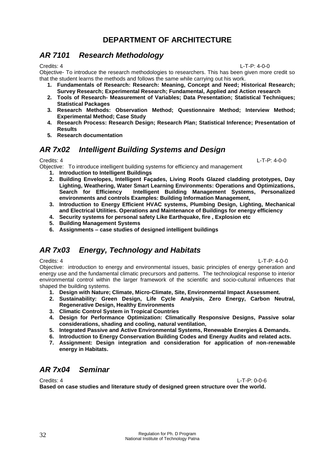# **DEPARTMENT OF ARCHITECTURE**

# <span id="page-32-1"></span><span id="page-32-0"></span>*AR 7101 Research Methodology*

Credits: 4 L-T-P: 4-0-0 Objective- To introduce the research methodologies to researchers. This has been given more credit so

that the student learns the methods and follows the same while carrying out his work.

- **1. Fundamentals of Research: Research: Meaning, Concept and Need; Historical Research; Survey Research; Experimental Research; Fundamental, Applied and Action research**
- **2. Tools of Research- Measurement of Variables; Data Presentation; Statistical Techniques; Statistical Packages**
- **3. Research Methods: Observation Method; Questionnaire Method; Interview Method; Experimental Method; Case Study**
- **4. Research Process: Research Design; Research Plan; Statistical Inference; Presentation of Results**
- **5. Research documentation**

# <span id="page-32-2"></span>*AR 7x02 Intelligent Building Systems and Design*

Credits: 4 L-T-P: 4-0-0 Objective: To introduce intelligent building systems for efficiency and management

- **1. Introduction to Intelligent Buildings**
- **2. Building Envelopes, Intelligent Façades, Living Roofs Glazed cladding prototypes, Day Lighting, Weathering, Water Smart Learning Environments: Operations and Optimizations, Search for Efficiency Intelligent Building Management Systems, Personalized environments and controls Examples: Building Information Management,**
- **3. Introduction to Energy Efficient HVAC systems, Plumbing Design, Lighting, Mechanical and Electrical Utilities. Operations and Maintenance of Buildings for energy efficiency**
- **4. Security systems for personal safety Like Earthquake, fire , Explosion etc**
- **5. Building Management Systems**
- **6. Assignments – case studies of designed intelligent buildings**

# <span id="page-32-3"></span>*AR 7x03 Energy, Technology and Habitats*

Credits: 4 L-T-P: 4-0-0 Objective: introduction to energy and environmental issues, basic principles of energy generation and energy use and the fundamental climatic precursors and patterns. The technological response to interior environmental control within the larger framework of the scientific and socio-cultural influences that shaped the building systems.

- **1. Design with Nature; Climate, Micro-Climate, Site, Environmental Impact Assessment.**
- **2. Sustainability: Green Design, Life Cycle Analysis, Zero Energy, Carbon Neutral, Regenerative Design, Healthy Environments**
- **3. Climatic Control System in Tropical Countries**
- **4. Design for Performance Optimization: Climatically Responsive Designs, Passive solar considerations, shading and cooling, natural ventilation,**
- **5. Integrated Passive and Active Environmental Systems, Renewable Energies & Demands.**
- **6. Introduction to Energy Conservation Building Codes and Energy Audits and related acts.**
- **7. Assignment: Design integration and consideration for application of non-renewable energy in Habitats.**

# <span id="page-32-4"></span>*AR 7x04 Seminar*

Credits: 4 L-T-P: 0-0-6 **Based on case studies and literature study of designed green structure over the world.**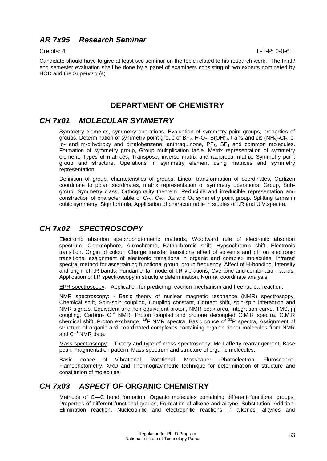# <span id="page-33-0"></span>*AR 7x95 Research Seminar*

Credits: 4 L-T-P: 0-0-6

Candidate should have to give at least two seminar on the topic related to his research work. The final / end semester evaluation shall be done by a panel of examiners consisting of two experts nominated by HOD and the Supervisor(s)

### **DEPARTMENT OF CHEMISTRY**

### <span id="page-33-2"></span><span id="page-33-1"></span>*CH 7x01 MOLECULAR SYMMETRY*

Symmetry elements, symmetry operations, Evaluation of symmetry point groups, properties of groups, Determination of symmetry point group of  $BF_3$ ,  $H_2O_2$ ,  $B(OH)_{3}$ , trans-and cis (NH<sub>3</sub>)<sub>2</sub>Cl<sub>2</sub>, p- $,$ o- and m-dihydroxy and dihalobenzene, anthraquinone,  $PF_6$ ,  $SF_4$  and common molecules. Formation of symmetry group, Group multiplication table. Matrix representation of symmetry element. Types of matrices, Transpose, inverse matrix and raciprocal matrix. Symmetry point group and structure, Operations in symmetry element using matrices and symmetry representation.

Definition of group, characteristics of groups, Linear transformation of coordinates, Cartizen coordinate to polar coordinates, matrix representation of symmetry operations, Group, Subgroup, Symmetry class, Orthogonality theorem, Reducible and irreducible representation and constraction of character table of  $C_{2V}$ ,  $C_{3V}$ ,  $D_{4h}$  and  $O_h$  symmetry point group. Splitting terms in cubic symmetry, Sign formula, Application of character table in studies of I.R and U.V.spectra.

### <span id="page-33-3"></span>*CH 7x02 SPECTROSCOPY*

Electronic absorion spectrophotometric methods, Woodward rule of electronic absorion spectrum, Chromophore, Auxochrome, Bathochromic shift, Hypsochromic shift, Electronic transition, Origin of colour, Charge transfer transitions effect of solvents and pH on electronic transitions, assignment of electronic transitions in organic and complex molecules, Infrared spectral method for ascertaining functional group, group frequency, Affect of H-bonding, Intensity and origin of I.R bands, Fundamental mode of I.R vibrations, Overtone and combination bands, Application of I.R spectroscopy in structure determination, Normal coordinate analysis.

EPR spectroscopy: - Application for predicting reaction mechanism and free radical reaction.

NMR spectroscopy: - Basic theory of nuclear magnetic resonance (NMR) spectroscopy, Chemical shift, Spin-spin coupling, Coupling constant, Contact shift, spin-spin interaction and NMR signals, Equivalent and non-equivalent proton, NMR peak area, Integration curve, TMS, j-j coupling, Carbon- C<sup>13</sup> NMR, Proton coupled and protone decoupled C.M.R spectra, C.M.R chemical shift, Proton exchange, <sup>19</sup>F NMR spectra, Basic conce of <sup>31</sup>P spectra, Assignment of structure of organic and coordinated complexes containing organic donor molecules from NMR and  $C^{13}$  NMR data.

Mass spectroscopy: - Theory and type of mass spectroscopy, Mc-Lafferty rearrangement, Base peak, Fragmentation pattern, Mass spectrum and structure of organic molecules.

Basic conce of Vibrational, Rotational, Mossbauer, Photoelectron, Fluroscence, Flamephotometry, XRD and Thermogravimetric technique for determination of structure and constitution of molecules.

# <span id="page-33-4"></span>*CH 7x03 ASPECT OF* **ORGANIC CHEMISTRY**

Methods of C—C bond formation, Organic molecules containing different functional groups, Properties of different functional groups, Formation of alkene and alkyne, Substitution, Addition, Elimination reaction, Nucleophilic and electrophilic reactions in alkenes, alkynes and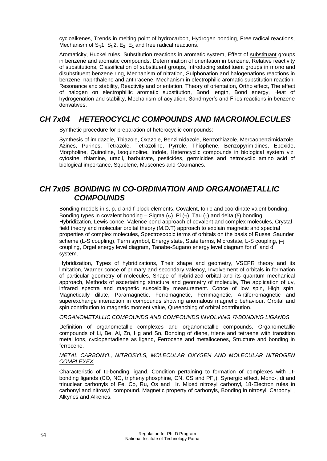cycloalkenes, Trends in melting point of hydrocarbon, Hydrogen bonding, Free radical reactions, Mechanism of  $S_N1$ ,  $S_N2$ ,  $E_2$ ,  $E_1$  and free radical reactions.

Aromaticity, Huckel rules, Substitution reactions in aromatic system, Effect of substituant groups in benzene and aromatic compounds, Determination of orientation in benzene, Relative reactivity of substitutions, Classification of substituent groups, Introducing substituent groups in mono and disubstituent benzene ring, Mechanism of nitration, Sulphonation and halogenations reactions in benzene, naphthalene and anthracene, Mechanism in electrophilic aromatic substitution reaction, Resonance and stability, Reactivity and orientation, Theory of orientation, Ortho effect, The effect of halogen on electrophillic aromatic substitution, Bond length, Bond energy, Heat of hydrogenation and stability, Mechanism of acylation, Sandmyer's and Fries reactions in benzene derivatives.

# <span id="page-34-0"></span>*CH 7x04 HETEROCYCLIC COMPOUNDS AND MACROMOLECULES*

Synthetic procedure for preparation of heterocyclic compounds: -

Synthesis of imidazole, Thiazole, Oxazole, Benzimidazole, Benzothiazole, Mercaobenzimidazole, Azines, Purines, Tetrazole, Tetrazoline, Pyrrole, Thiophene, Benzopyrimidines, Epoxide, Morpholine, Quinoline, Isoquinoline, Indole, Heterocyclic compounds in biological system viz, cytosine, thiamine, uracil, barbutrate, pesticides, germicides and hetrocyclic amino acid of biological importance, Squelene, Muscones and Coumanes.

# <span id="page-34-1"></span>*CH 7x05 BONDING IN CO-ORDINATION AND ORGANOMETALLIC COMPOUNDS*

Bonding models in s, p, d and f-block elements, Covalent, Ionic and coordinate valent bonding, Bonding types in covalent bonding – Sigma ( $\sigma$ ), Pi ( $\pi$ ), Tau ( $\tau$ ) and delta ( $\delta$ ) bonding, Hybridization, Lewis conce, Valence bond approach of covalent and complex molecules, Crystal field theory and molecular orbital theory (M.O.T) approach to explain magnetic and spectral properties of complex molecules, Spectroscopic terms of orbitals on the basis of Russel Saunder scheme (L-S coupling), Term symbol, Energy state, State terms, Microstate, L-S coupling, j-j coupling, Orgel energy level diagram, Tanabe-Sugano energy level diagram for  $d^2$  and  $d^3$ system.

Hybridization, Types of hybridizations, Their shape and geometry, VSEPR theory and its limitation, Warner conce of primary and secondary valency, Involvement of orbitals in formation of particular geometry of molecules, Shape of hybridized orbital and its quantum mechanical approach, Methods of ascertaining structure and geometry of molecule, The application of uv, infrared spectra and magnetic susceibility measurement. Conce of low spin, High spin, Magnetically dilute, Paramagnetic, Ferromagnetic, Ferrimagnetic, Antiferromagnetic and superexchange interaction in compounds showing anomalous magnetic behaviour. Orbital and spin contribution to magnetic moment value, Queenching of orbital contribution.

#### *ORGANOMETALLIC COMPOUNDS AND COMPOUNDS INVOLVING -BONDING LIGANDS*

Definition of organometallic complexes and organometallic compounds, Organometallic compounds of Li, Be, Al, Zn, Hg and Sn, Bonding of diene, triene and tetraene with transition metal ions, cyclopentadiene as ligand, Ferrocene and metallocenes, Structure and bonding in ferrocene.

#### *METAL CARBONYL, NITROSYLS, MOLECULAR OXYGEN AND MOLECULAR NITROGEN COMPLEXEX*

Characteristic of  $\Pi$ -bonding ligand. Condition pertaining to formation of complexes with  $\Pi$ bonding ligands (CO, NO, triphenylphosphine, CN, CS and PF<sub>3</sub>), Synergic effect, Mono-, di and trinuclear carbonyls of Fe, Co, Ru, Os and Ir. Mixed nitrosyl carbonyl, 18-Electron rules in carbonyl and nitrosyl compound. Magnetic property of carbonyls, Bonding in nitrosyl, Carbonyl , Alkynes and Alkenes.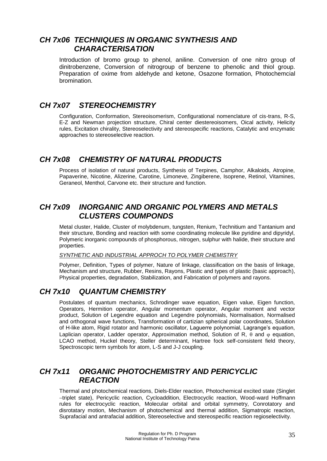# <span id="page-35-0"></span>*CH 7x06 TECHNIQUES IN ORGANIC SYNTHESIS AND CHARACTERISATION*

Introduction of bromo group to phenol, aniline. Conversion of one nitro group of dinitrobenzene, Conversion of nitrogroup of benzene to phenolic and thiol group. Preparation of oxime from aldehyde and ketone, Osazone formation, Photochemcial bromination.

# <span id="page-35-1"></span>*CH 7x07 STEREOCHEMISTRY*

Configuration, Conformation, Stereoisomerism, Configurational nomenclature of cis-trans, R-S, E-Z and Newman projection structure, Chiral center diestereoisomers, Oical activity, Helicity rules, Excitation chirality, Stereoselectivity and stereospecific reactions, Catalytic and enzymatic approaches to stereoselective reaction.

# <span id="page-35-2"></span>*CH 7x08 CHEMISTRY OF NATURAL PRODUCTS*

Process of isolation of natural products, Synthesis of Terpines, Camphor, Alkaloids, Atropine, Papaverine, Nicotine, Alizerine, Carotine, Limoneve, Zingiberene, Isoprene, Retinol, Vitamines, Geraneol, Menthol, Carvone etc. their structure and function.

# <span id="page-35-3"></span>*CH 7x09 INORGANIC AND ORGANIC POLYMERS AND METALS CLUSTERS COUMPONDS*

Metal cluster, Halide, Cluster of molybdenum, tungsten, Renium, Technitium and Tantanium and their structure, Bonding and reaction with some coordinating molecule like pyridine and dipyridyl, Polymeric inorganic compounds of phosphorous, nitrogen, sulphur with halide, their structure and properties.

#### *SYNTHETIC AND INDUSTRIAL APPROCH TO POLYMER CHEMISTRY*

Polymer, Definition, Types of polymer, Nature of linkage, classification on the basis of linkage, Mechanism and structure, Rubber, Resins, Rayons, Plastic and types of plastic (basic approach), Physical properties, degradation, Stabilization, and Fabrication of polymers and rayons.

# <span id="page-35-4"></span>*CH 7x10 QUANTUM CHEMISTRY*

Postulates of quantum mechanics, Schrodinger wave equation, Eigen value, Eigen function, Operators, Hermition operator, Angular momentum operator, Angular moment and vector product, Solution of Legendre equation and Legendre polynomials, Normalisation, Normalised and orthogonal wave functions, Transformation of cartizian spherical polar coordinates, Solution of H-like atom, Rigid rotator and harmonic oscillator, Laguerre polynomial, Lagrange's equation, Laplician operator, Ladder operator, Approximation method, Solution of R,  $\theta$  and  $\phi$  equation, LCAO method, Huckel theory, Steller determinant, Hartree fock self-consistent field theory, Spectroscopic term symbols for atom, L-S and J-J coupling.

# <span id="page-35-5"></span>*CH 7x11 ORGANIC PHOTOCHEMISTRY AND PERICYCLIC REACTION*

Thermal and photochemical reactions, Diels-Elder reaction, Photochemical excited state (Singlet -triplet state), Pericyclic reaction, Cycloaddition, Electrocyclic reaction, Wood-ward Hoffmann rules for electrocyclic reaction, Molecular orbital and orbital symmetry, Conrotatory and disrotatary motion, Mechanism of photochemical and thermal addition, Sigmatropic reaction, Suprafacial and antrafacial addition, Stereoselective and stereospecific reaction regioselectivity.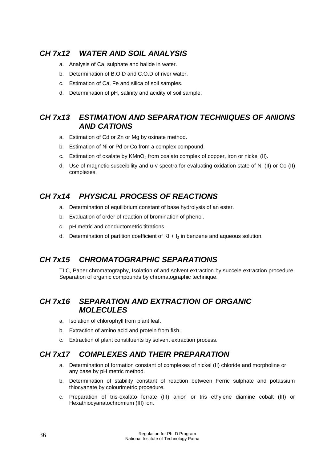# <span id="page-36-0"></span>*CH 7x12 WATER AND SOIL ANALYSIS*

- a. Analysis of Ca, sulphate and halide in water.
- b. Determination of B.O.D and C.O.D of river water.
- c. Estimation of Ca, Fe and silica of soil samples.
- d. Determination of pH, salinity and acidity of soil sample.

# <span id="page-36-1"></span>*CH 7x13 ESTIMATION AND SEPARATION TECHNIQUES OF ANIONS AND CATIONS*

- a. Estimation of Cd or Zn or Mg by oxinate method.
- b. Estimation of Ni or Pd or Co from a complex compound.
- c. Estimation of oxalate by  $K/MnO<sub>4</sub>$  from oxalato complex of copper, iron or nickel (II).
- d. Use of magnetic susceibility and u-v spectra for evaluating oxidation state of Ni (II) or Co (II) complexes.

# <span id="page-36-2"></span>*CH 7x14 PHYSICAL PROCESS OF REACTIONS*

- a. Determination of equilibrium constant of base hydrolysis of an ester.
- b. Evaluation of order of reaction of bromination of phenol.
- c. pH metric and conductometric titrations.
- d. Determination of partition coefficient of  $KI + I_2$  in benzene and aqueous solution.

# <span id="page-36-3"></span>*CH 7x15 CHROMATOGRAPHIC SEPARATIONS*

TLC, Paper chromatography, Isolation of and solvent extraction by succele extraction procedure. Separation of organic compounds by chromatographic technique.

# <span id="page-36-4"></span>*CH 7x16 SEPARATION AND EXTRACTION OF ORGANIC MOLECULES*

- a. Isolation of chlorophyll from plant leaf.
- b. Extraction of amino acid and protein from fish.
- c. Extraction of plant constituents by solvent extraction process.

# <span id="page-36-5"></span>*CH 7x17 COMPLEXES AND THEIR PREPARATION*

- a. Determination of formation constant of complexes of nickel (II) chloride and morpholine or any base by pH metric method.
- b. Determination of stability constant of reaction between Ferric sulphate and potassium thiocyanate by colourimetric procedure.
- c. Preparation of tris-oxalato ferrate (III) anion or tris ethylene diamine cobalt (III) or Hexathiocyanatochromium (III) ion.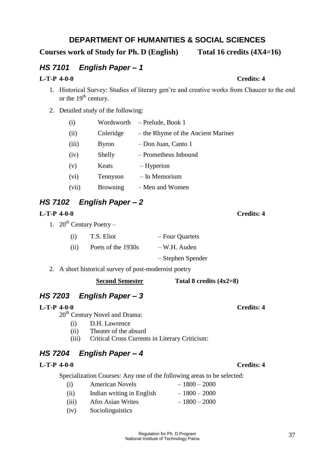# **DEPARTMENT OF HUMANITIES & SOCIAL SCIENCES**

<span id="page-37-0"></span>**Courses work of Study for Ph. D (English) Total 16 credits (4X4=16)**

# <span id="page-37-1"></span>*HS 7101 English Paper – 1*

### **L-T-P 4-0-0 Credits: 4**

- 1. Historical Survey: Studies of literary gen're and creative works from Chaucer to the end or the  $19<sup>th</sup>$  century.
- 2. Detailed study of the following:

| (i)   | Wordsworth      | - Prelude, Book 1                  |
|-------|-----------------|------------------------------------|
| (ii)  | Coleridge       | – the Rhyme of the Ancient Mariner |
| (iii) | <b>Byron</b>    | - Don Juan, Canto 1                |
| (iv)  | Shelly          | - Prometheus Inbound               |
| (v)   | Keats           | – Hyperion                         |
| (vi)  | Tennyson        | - In Memorium                      |
| (vii) | <b>Browning</b> | - Men and Women                    |

# <span id="page-37-2"></span>*HS 7102 English Paper – 2*

### **L-T-P 4-0-0 Credits: 4**

1.  $20^{th}$  Century Poetry –

| (i)  | T.S. Eliot         | - Four Quartets   |
|------|--------------------|-------------------|
| (ii) | Poets of the 1930s | – W.H. Auden      |
|      |                    | - Stephen Spender |

2. A short historical survey of post-modernist poetry

# <span id="page-37-3"></span>*HS 7203 English Paper – 3*

### **L-T-P 4-0-0 Credits: 4**

20<sup>th</sup> Century Novel and Drama:

- (i) D.H. Lawrence
- (ii) Theater of the absurd
- (iii) Critical Cross Currents in Literary Criticism:

# <span id="page-37-4"></span>*HS 7204 English Paper – 4*

### **L-T-P 4-0-0 Credits: 4**

Specialization Courses: Any one of the following areas to be selected:

**Second Semester Total 8 credits (4x2=8)**

- (i) American Novels  $-1800 2000$ (ii) Indian writing in English  $-1800 - 2000$
- (iii) Afro Asian Writes  $-1800 2000$
- (iv) Sociolinguistics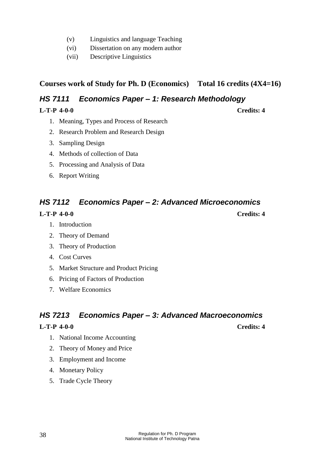- (v) Linguistics and language Teaching
- (vi) Dissertation on any modern author
- (vii) Descriptive Linguistics

**Courses work of Study for Ph. D (Economics) Total 16 credits (4X4=16)**

# <span id="page-38-0"></span>*HS 7111 Economics Paper – 1: Research Methodology*

### **L-T-P 4-0-0 Credits: 4**

- 1. Meaning, Types and Process of Research
- 2. Research Problem and Research Design
- 3. Sampling Design
- 4. Methods of collection of Data
- 5. Processing and Analysis of Data
- 6. Report Writing

# <span id="page-38-1"></span>*HS 7112 Economics Paper – 2: Advanced Microeconomics*

### **L-T-P 4-0-0 Credits: 4**

- 1. Introduction
- 2. Theory of Demand
- 3. Theory of Production
- 4. Cost Curves
- 5. Market Structure and Product Pricing
- 6. Pricing of Factors of Production
- 7. Welfare Economics

# <span id="page-38-2"></span>*HS 7213 Economics Paper – 3: Advanced Macroeconomics*

### **L-T-P 4-0-0 Credits: 4**

- 1. National Income Accounting
- 2. Theory of Money and Price
- 3. Employment and Income
- 4. Monetary Policy
- 5. Trade Cycle Theory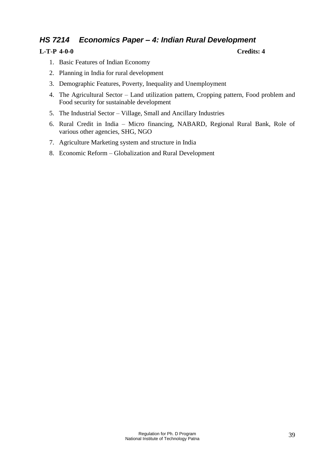# <span id="page-39-0"></span>*HS 7214 Economics Paper – 4: Indian Rural Development*

### **L-T-P 4-0-0 Credits: 4**

- 1. Basic Features of Indian Economy
- 2. Planning in India for rural development
- 3. Demographic Features, Poverty, Inequality and Unemployment
- 4. The Agricultural Sector Land utilization pattern, Cropping pattern, Food problem and Food security for sustainable development
- 5. The Industrial Sector Village, Small and Ancillary Industries
- 6. Rural Credit in India Micro financing, NABARD, Regional Rural Bank, Role of various other agencies, SHG, NGO
- 7. Agriculture Marketing system and structure in India
- 8. Economic Reform Globalization and Rural Development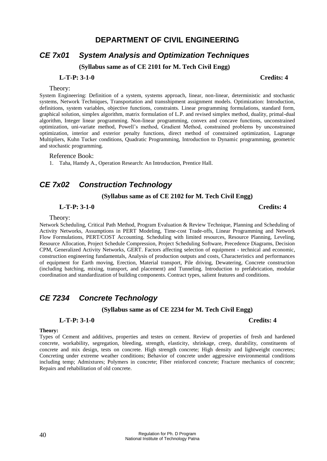### **DEPARTMENT OF CIVIL ENGINEERING**

# <span id="page-40-1"></span><span id="page-40-0"></span>*CE 7x01 System Analysis and Optimization Techniques*

**(Syllabus same as of CE 2101 for M. Tech Civil Engg)**

#### **L-T-P: 3-1-0 Credits: 4**

#### Theory:

System Engineering: Definition of a system, systems approach, linear, non-linear, deterministic and stochastic systems, Network Techniques, Transportation and transshipment assignment models. Optimization: Introduction, definitions, system variables, objective functions, constraints. Linear programming formulations, standard form, graphical solution, simplex algorithm, matrix formulation of L.P. and revised simplex method, duality, primal-dual algorithm, Integer linear programming. Non-linear programming, convex and concave functions, unconstrained optimization, uni-variate method, Powell's method, Gradient Method, constrained problems by unconstrained optimization, interior and exterior penalty functions, direct method of constrained optimization, Lagrange Multipliers, Kuhn Tucker conditions, Quadratic Programming, Introduction to Dynamic programming, geometric and stochastic programming.

#### Reference Book:

1. Taha, Hamdy A., Operation Research: An Introduction, Prentice Hall.

# <span id="page-40-2"></span>*CE 7x02 Construction Technology*

#### **(Syllabus same as of CE 2102 for M. Tech Civil Engg)**

#### **L-T-P: 3-1-0 Credits: 4**

#### Theory:

Network Scheduling, Critical Path Method, Program Evaluation & Review Technique, Planning and Scheduling of Activity Networks, Assumptions in PERT Modeling, Time-cost Trade-offs, Linear Programming and Network Flow Formulations, PERT/COST Accounting. Scheduling with limited resources, Resource Planning, Leveling, Resource Allocation, Project Schedule Compression, Project Scheduling Software, Precedence Diagrams, Decision CPM, Generalized Activity Networks, GERT. Factors affecting selection of equipment - technical and economic, construction engineering fundamentals, Analysis of production outputs and costs, Characteristics and performances of equipment for Earth moving, Erection, Material transport, Pile driving, Dewatering, Concrete construction (including batching, mixing, transport, and placement) and Tunneling. Introduction to prefabrication, modular coordination and standardization of building components. Contract types, salient features and conditions.

# <span id="page-40-3"></span>*CE 7234 Concrete Technology*

**(Syllabus same as of CE 2234 for M. Tech Civil Engg)**

#### **L-T-P: 3-1-0 Credits: 4**

#### **Theory:**

Types of Cement and additives, properties and testes on cement. Review of properties of fresh and hardened concrete, workability, segregation, bleeding, strength, elasticity, shrinkage, creep, durability, constituents of concrete and mix design, tests on concrete. High strength concrete; High density and lightweight concretes; Concreting under extreme weather conditions; Behavior of concrete under aggressive environmental conditions including temp; Admixtures; Polymers in concrete; Fiber reinforced concrete; Fracture mechanics of concrete; Repairs and rehabilitation of old concrete.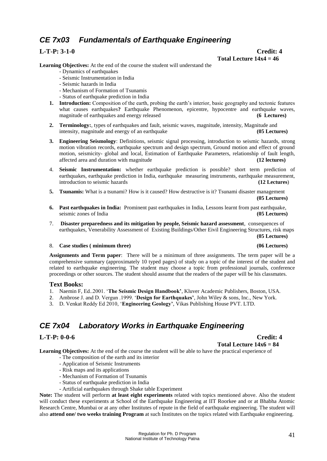# <span id="page-41-0"></span>*CE 7x03 Fundamentals of Earthquake Engineering*

**L-T-P: 3-1-0 Credit: 4** Total Lecture  $14x4 = 46$ 

**Learning Objectives:** At the end of the course the student will understand the

- Dynamics of earthquakes
- Seismic Instrumentation in India
- Seismic hazards in India
- Mechanism of Formation of Tsunamis
- Status of earthquake prediction in India
- **1. Introduction:** Composition of the earth, probing the earth's interior, basic geography and tectonic features what causes earthquakes**?** Earthquake Phenomenon, epicentre, hypocentre and earthquake waves, magnitude of earthquakes and energy released **(6 Lectures)**
- **2. Terminology:**, types of earthquakes and fault, seismic waves, magnitude, intensity, Magnitude and intensity, magnitude and energy of an earthquake **(05 Lectures)**
- **3. Engineering Seismology**: Definitions, seismic signal processing, introduction to seismic hazards, strong motion vibration records, earthquake spectrum and design spectrum, Ground motion and effect of ground motion, seismicity- global and local, Estimation of Earthquake Parameters, relationship of fault length, affected area and duration with magnitude **(12 lectures)**
- 4. **Seismic Instrumentation:** whether earthquake prediction is possible? short term prediction of earthquakes, earthquake prediction in India, earthquake measuring instruments, earthquake measurement, introduction to seismic hazards **(12 Lectures**)
- **5. Tsunamis:** What is a tsunami? How is it caused? How destructive is it? Tsunami disaster management **(05 Lectures)**
- **6. Past earthquakes in India:** Prominent past earthquakes in India, Lessons learnt from past earthquake, seismic zones of India **(05 Lectures)**
- 7. **Disaster preparedness and its mitigation by people, Seismic hazard assessment**, consequences of earthquakes, Venerability Assessment of Existing Buildings/Other Eivil Engineering Structures, risk maps

**(05 Lectures)**

#### 8. **Case studies ( minimum three) (06 Lectures)**

**Assignments and Term paper**: There will be a minimum of three assignments. The term paper will be a comprehensive summary (approximately 10 typed pages) of study on a topic of the interest of the student and related to earthquake engineering. The student may choose a topic from professional journals, conference proceedings or other sources. The student should assume that the readers of the paper will be his classmates.

#### **Text Books:**

- 1. Naemin F, Ed..2001. '**The Seismic Design Handbook'**, Kluver Academic Publishers, Boston, USA.
- 2. Ambrose J. and D. Vergun .1999. '**Design for Earthquakes'**, John Wiley & sons, Inc., New York.
- 3. D. Venkat Reddy Ed 2010, '**Engineering Geology'**, Vikas Publishing House PVT. LTD.

# <span id="page-41-1"></span>*CE 7x04 Laboratory Works in Earthquake Engineering*

#### **L-T-P: 0-0-6 Credit: 4**

**Total Lecture 14x6 = 84**

**Learning Objectives:** At the end of the course the student will be able to have the practical experience of

- The composition of the earth and its interior
- Application of Seismic Instruments
- Risk maps and its applications
- Mechanism of Formation of Tsunamis
- Status of earthquake prediction in India
- Artificial earthquakes through Shake table Experiment

**Note:** The student will perform **at least eight experiments** related with topics mentioned above. Also the student will conduct these experiments at School of the Earthquake Engineering at IIT Roorkee and or at Bhabha Atomic Research Centre, Mumbai or at any other Institutes of repute in the field of earthquake engineering. The student will also **attend one/ two weeks training Program** at such Institutes on the topics related with Earthquake engineering.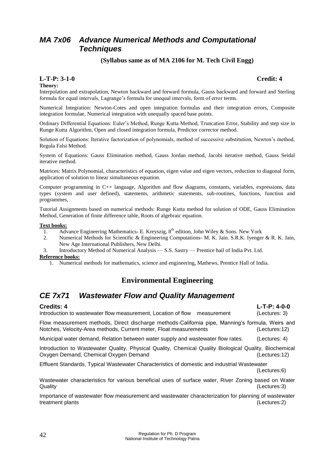# <span id="page-42-0"></span>*MA 7x06 Advance Numerical Methods and Computational Techniques*

#### **(Syllabus same as of MA 2106 for M. Tech Civil Engg)**

#### **L-T-P: 3-1-0 Credit: 4**

#### **Theory:**

Interpolation and extrapolation, Newton backward and forward formula, Gauss backward and forward and Sterling formula for equal intervals, Lagrange's formula for unequal intervals, form of error terms.

Numerical Integration: Newton-Cotes and open integration formulas and their integration errors, Composite integration formulae, Numerical integration with unequally spaced base points.

Ordinary Differential Equations: Euler's Method, Runge Kutta Method, Truncation Error, Stability and step size in Runge Kutta Algorithm, Open and closed integration formula, Predictor corrector method.

Solution of Equations: Iterative factorization of polynomials, method of successive substitution, Newton's method, Regula Falsi Method.

System of Equations: Gauss Elimination method, Gauss Jordan method, Jacobi iterative method, Gauss Seidal iterative method.

Matrices: Matrix Polynomial, characteristics of equation, eigen value and eigen vectors, reduction to diagonal form, application of solution to linear simultaneous equation.

Computer programming in C++ language, Algorithm and flow diagrams, constants, variables, expressions, data types (system and user defined), statements, arithmetic statements, sub-routines, functions, function and programmes,

Tutorial Assignments based on numerical methods: Runge Kutta method for solution of ODE, Gauss Elimination Method, Generation of finite difference table, Roots of algebraic equation.

#### **Text books:**

- 1. Advance Engineering Mathematics- E. Kreyszig,  $8<sup>th</sup>$  edition, John Wiley & Sons. New York
- 2. Numerical Methods for Scientific & Engineering Computations- M. K. Jain. S.R.K. Iyenger & R. K. Jain, New Age International Publishers, New Delhi.
- 3. Introductory Method of Numerical Analysis S.S. Sastry Prentice hail of India Pvt. Ltd.

#### **Reference books:**

1. Numerical methods for mathematics, science and engineering, Mathews, Prentice Hall of India.

# **Environmental Engineering**

# <span id="page-42-1"></span>*CE 7x71 Wastewater Flow and Quality Management*

Introduction to wastewater flow measurement, Location of flow measurement (Lectures: 3)

Flow measurement methods, Direct discharge methods-California pipe, Manning's formula, Weirs and Notches, Velocity-Area methods, Current meter, Float measurements (Lectures:12)

Municipal water demand, Relation between water supply and wastewater flow rates. (Lectures: 4)

Introduction to Wastewater Quality, Physical Quality, Chemical Quality Biological Quality, Biochemical Oxygen Demand, Chemical Oxygen Demand (Lectures:12)

Effluent Standards, Typical Wastewater Characteristics of domestic and industrial Wastewater (Lectures:6)

Wastewater characteristics for various beneficial uses of surface water, River Zoning based on Water Quality (Lectures:3)

Importance of wastewater flow measurement and wastewater characterization for planning of wastewater treatment plants (Lectures:2)

**Credits: 4 L-T-P: 4-0-0**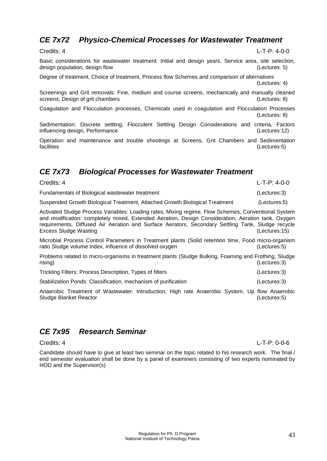# <span id="page-43-0"></span>*CE 7x72 Physico-Chemical Processes for Wastewater Treatment*

Basic considerations for wastewater treatment: Initial and design years, Service area, site selection, design population, design flow (Lectures: 5)

Degree of treatment, Choice of treatment, Process flow Schemes and comparison of alternatives (Lectures: 4)

Screenings and Grit removals: Fine, medium and course screens, mechanically and manually cleaned screens; Design of grit chambers screens; Design of grit chambers

Coagulation and Flocculation processes, Chemicals used in coagulation and Flocculation Processes (Lectures: 8)

Sedimentation: Discrete settling, Flocculent Settling Design Considerations and criteria, Factors influencing design, Performance (Lectures:12)

Operation and maintenance and trouble shootings at Screens, Grit Chambers and Sedimentation facilities (Lectures:5) (Lectures:5)

# <span id="page-43-1"></span>*CE 7x73 Biological Processes for Wastewater Treatment*

Suspended Growth Biological Treatment, Attached Growth Biological Treatment (Lectures:5)

Credits: 4 L-T-P: 4-0-0

Activated Sludge Process Variables: Loading rates, Mixing regime, Flow Schemes, Conventional System and modification: completely mixed, Extended Aeration, Design Consideration, Aeration tank, Oxygen requirements, Diffused Air Aeration and Surface Aerators, Secondary Settling Tank, Sludge recycle Excess Sludge Wasting (Lectures:15)

Microbial Process Control Parameters in Treatment plants (Solid retention time, Food micro-organism ratio Sludge volume index, influence of dissolved oxygen (Lectures:5)

Problems related to micro-organisms in treatment plants (Sludge Bulking, Foaming and Frothing, Sludge rising) (Lectures:3)

Trickling Filters: Process Description, Types of filters (Lectures:3)

Stabilization Ponds: Classification, mechanism of purification (Lectures:3)

Anaerobic Treatment of Wastewater: Introduction, High rate Anaerobic System, Up flow Anaerobic Sludge Blanket Reactor (Lectures:5)

# <span id="page-43-2"></span>*CE 7x95 Research Seminar*

Candidate should have to give at least two seminar on the topic related to his research work. The final / end semester evaluation shall be done by a panel of examiners consisting of two experts nominated by HOD and the Supervisor(s)

Fundamentals of Biological wastewater treatment (Lectures:3)

Credits: 4 L-T-P: 0-0-6

Credits: 4 L-T-P: 4-0-0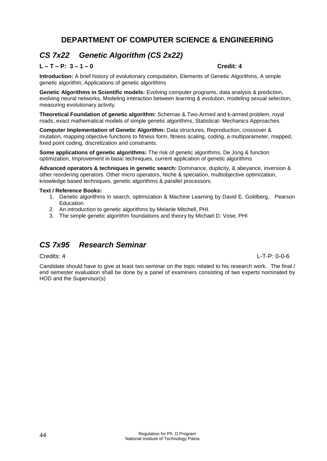# **DEPARTMENT OF COMPUTER SCIENCE & ENGINEERING**

# <span id="page-44-1"></span><span id="page-44-0"></span>*CS 7x22 Genetic Algorithm (CS 2x22)*

### **L – T – P: 3 – 1 – 0 Credit: 4**

**Introduction:** A brief history of evolutionary computation, Elements of Genetic Algorithms, A simple genetic algorithm, Applications of genetic algorithms

**Genetic Algorithms in Scientific models:** Evolving computer programs, data analysis & prediction, evolving neural networks, Modeling interaction between learning & evolution, modeling sexual selection, measuring evolutionary activity.

**Theoretical Foundation of genetic algorithm:** Schemas & Two-Armed and k-armed problem, royal roads, exact mathematical models of simple genetic algorithms, Statistical- Mechanics Approaches.

**Computer Implementation of Genetic Algorithm:** Data structures, Reproduction, crossover & mutation, mapping objective functions to fitness form, fitness scaling, coding, a multiparameter, mapped, fixed point coding, discretization and constraints.

**Some applications of genetic algorithms:** The risk of genetic algorithms, De Jong & function optimization, Improvement in basic techniques, current application of genetic algorithms

**Advanced operators & techniques in genetic search:** Dominance, duplicity, & abeyance, inversion & other reordering operators. Other micro operators, Niche & speciation, multiobjective optimization, knowledge based techniques, genetic algorithms & parallel processors.

#### **Text / Reference Books:**

- 1. Genetic algorithms in search, optimization & Machine Learning by David E. Goldberg, Pearson **Education**
- 2. An introduction to genetic algorithms by Melanle Mitchell, PHI.
- 3. The simple genetic algorithm foundations and theory by Michael D. Vose, PHI

# <span id="page-44-2"></span>*CS 7x95 Research Seminar*

#### Credits: 4 L-T-P: 0-0-6

Candidate should have to give at least two seminar on the topic related to his research work. The final / end semester evaluation shall be done by a panel of examiners consisting of two experts nominated by HOD and the Supervisor(s)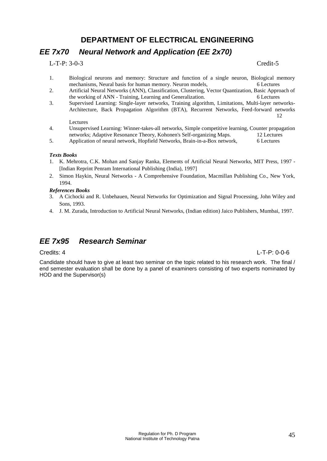# **DEPARTMENT OF ELECTRICAL ENGINEERING**

# <span id="page-45-1"></span><span id="page-45-0"></span>*EE 7x70 Neural Network and Application (EE 2x70)*

L-T-P: 3-0-3 Credit-5

- 1. Biological neurons and memory: Structure and function of a single neuron, Biological memory mechanisms, Neural basis for human memory. Neuron models, 6 Lectures
- 2. Artificial Neural Networks (ANN), Classification, Clustering, Vector Quantization, Basic Approach of the working of ANN - Training, Learning and Generalization. 6 Lectures
- 3. Supervised Learning: Single-layer networks, Training algorithm, Limitations, Multi-layer networks-Architecture, Back Propagation Algorithm (BTA), Recurrent Networks, Feed-forward networks 12

#### Lectures

- 4. Unsupervised Learning: Winner-takes-all networks, Simple competitive learning, Counter propagation networks; Adaptive Resonance Theory, Kohonen's Self-organizing Maps. 12 Lectures
- 5. Application of neural network, Hopfield Networks, Brain-in-a-Box network, 6 Lectures

#### *Texts Books*

- 1. K. Mehrotra, C.K. Mohan and Sanjay Ranka, Elements of Artificial Neural Networks, MIT Press, 1997 [Indian Reprint Penram International Publishing (India), 1997]
- 2. Simon Haykin, Neural Networks A Comprehensive Foundation, Macmillan Publishing Co., New York, 1994.

#### *References Books*

- 3. A Cichocki and R. Unbehauen, Neural Networks for Optimization and Signal Processing, John Wiley and Sons, 1993.
- 4. J. M. Zurada, Introduction to Artificial Neural Networks, (Indian edition) Jaico Publishers, Mumbai, 1997.

# <span id="page-45-2"></span>*EE 7x95 Research Seminar*

#### Credits: 4 L-T-P: 0-0-6

Candidate should have to give at least two seminar on the topic related to his research work. The final / end semester evaluation shall be done by a panel of examiners consisting of two experts nominated by HOD and the Supervisor(s)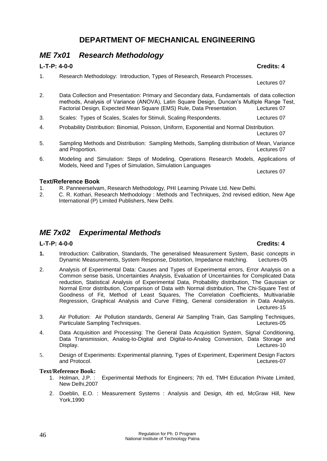# <span id="page-46-1"></span><span id="page-46-0"></span>*ME 7x01 Research Methodology*

### **L-T-P: 4-0-0 Credits: 4**

1. Research Methodology: Introduction, Types of Research, Research Processes.

Lectures 07

- 2. Data Collection and Presentation: Primary and Secondary data, Fundamentals of data collection methods, Analysis of Variance (ANOVA), Latin Square Design, Duncan's Multiple Range Test, Factorial Design, Expected Mean Square (EMS) Rule, Data Presentation. Lectures 07
- 3. Scales: Types of Scales, Scales for Stimuli, Scaling Respondents. Lectures 07
- 4. Probability Distribution: Binomial, Poisson, Uniform, Exponential and Normal Distribution. Lectures 07
- 5. Sampling Methods and Distribution: Sampling Methods, Sampling distribution of Mean, Variance and Proportion. **Lectures 07**
- 6. Modeling and Simulation: Steps of Modeling, Operations Research Models, Applications of Models, Need and Types of Simulation, Simulation Languages

#### **Text/Reference Book**

- 1. R. Panneerselvam, Research Methodology, PHI Learning Private Ltd. New Delhi.<br>2. C. R. Kothari. Research Methodology: Methods and Techniques. 2nd revised eq
- 2. C. R. Kothari, Research Methodology : Methods and Techniques, 2nd revised edition, New Age International (P) Limited Publishers, New Delhi.

# <span id="page-46-2"></span>*ME 7x02 Experimental Methods*

### **L-T-P: 4-0-0 Credits: 4**

- **1.** Introduction: Calibration, Standards, The generalised Measurement System, Basic concepts in Dynamic Measurements, System Response, Distortion, Impedance matching. Lectures-05
- 2. Analysis of Experimental Data: Causes and Types of Experimental errors, Error Analysis on a Common sense basis, Uncertainties Analysis, Evaluation of Uncertainties for Complicated Data reduction, Statistical Analysis of Experimental Data, Probability distribution, The Gaussian or Normal Error distribution, Comparison of Data with Normal distribution, The Chi-Square Test of Goodness of Fit, Method of Least Squares, The Correlation Coefficients, Multivariable Regression, Graphical Analysis and Curve Fitting, General consideration in Data Analysis. Lectures-15
- 3. Air Pollution: Air Pollution standards, General Air Sampling Train, Gas Sampling Techniques, Particulate Sampling Techniques. Lectures-05
- 4. Data Acquisition and Processing: The General Data Acquisition System, Signal Conditioning, Data Transmission, Analog-to-Digital and Digital-to-Analog Conversion, Data Storage and Display. Lectures-10
- 5. Design of Experiments: Experimental planning, Types of Experiment, Experiment Design Factors and Protocol. Lectures-07

#### **Text/Reference Book:**

- 1. Holman, J.P. : Experimental Methods for Engineers; 7th ed, TMH Education Private Limited, New Delhi,2007
- 2. Doeblin, E.O. : Measurement Systems : Analysis and Design, 4th ed, McGraw Hill, New York,1990

Lectures 07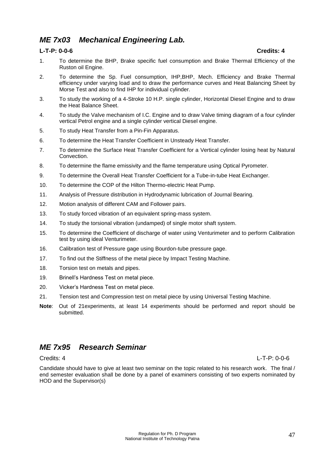# <span id="page-47-0"></span>*ME 7x03 Mechanical Engineering Lab.*

#### **L-T-P: 0-0-6 Credits: 4**

- 1. To determine the BHP, Brake specific fuel consumption and Brake Thermal Efficiency of the Ruston oil Engine.
- 2. To determine the Sp. Fuel consumption, IHP,BHP, Mech. Efficiency and Brake Thermal efficiency under varying load and to draw the performance curves and Heat Balancing Sheet by Morse Test and also to find IHP for individual cylinder.
- 3. To study the working of a 4-Stroke 10 H.P. single cylinder, Horizontal Diesel Engine and to draw the Heat Balance Sheet.
- 4. To study the Valve mechanism of I.C. Engine and to draw Valve timing diagram of a four cylinder vertical Petrol engine and a single cylinder vertical Diesel engine.
- 5. To study Heat Transfer from a Pin-Fin Apparatus.
- 6. To determine the Heat Transfer Coefficient in Unsteady Heat Transfer.
- 7. To determine the Surface Heat Transfer Coefficient for a Vertical cylinder losing heat by Natural Convection.
- 8. To determine the flame emissivity and the flame temperature using Optical Pyrometer.
- 9. To determine the Overall Heat Transfer Coefficient for a Tube-in-tube Heat Exchanger.
- 10. To determine the COP of the Hilton Thermo-electric Heat Pump.
- 11. Analysis of Pressure distribution in Hydrodynamic lubrication of Journal Bearing.
- 12. Motion analysis of different CAM and Follower pairs.
- 13. To study forced vibration of an equivalent spring-mass system.
- 14. To study the torsional vibration (undamped) of single motor shaft system.
- 15. To determine the Coefficient of discharge of water using Venturimeter and to perform Calibration test by using ideal Venturimeter.
- 16. Calibration test of Pressure gage using Bourdon-tube pressure gage.
- 17. To find out the Stiffness of the metal piece by Impact Testing Machine.
- 18. Torsion test on metals and pipes.
- 19. Brinell's Hardness Test on metal piece.
- 20. Vicker's Hardness Test on metal piece.
- 21. Tension test and Compression test on metal piece by using Universal Testing Machine.
- **Note**: Out of 21experiments, at least 14 experiments should be performed and report should be submitted.

# <span id="page-47-1"></span>*ME 7x95 Research Seminar*

Candidate should have to give at least two seminar on the topic related to his research work. The final / end semester evaluation shall be done by a panel of examiners consisting of two experts nominated by HOD and the Supervisor(s)

Credits: 4 L-T-P: 0-0-6